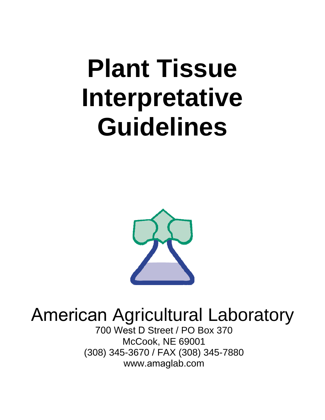# **Plant Tissue Interpretative Guidelines**



# American Agricultural Laboratory

700 West D Street / PO Box 370 McCook, NE 69001 (308) 345-3670 / FAX (308) 345-7880 www.amaglab.com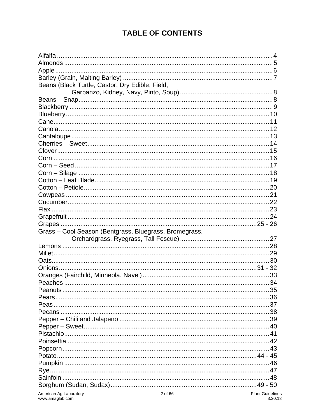# **TABLE OF CONTENTS**

| Beans (Black Turtle, Castor, Dry Edible, Field,        |                                   |
|--------------------------------------------------------|-----------------------------------|
|                                                        |                                   |
|                                                        |                                   |
|                                                        |                                   |
|                                                        |                                   |
|                                                        |                                   |
|                                                        |                                   |
|                                                        |                                   |
|                                                        |                                   |
|                                                        |                                   |
|                                                        |                                   |
|                                                        |                                   |
|                                                        |                                   |
|                                                        |                                   |
|                                                        |                                   |
|                                                        |                                   |
|                                                        |                                   |
|                                                        |                                   |
|                                                        |                                   |
|                                                        |                                   |
|                                                        |                                   |
|                                                        |                                   |
| Grass - Cool Season (Bentgrass, Bluegrass, Bromegrass, |                                   |
|                                                        |                                   |
|                                                        |                                   |
|                                                        |                                   |
|                                                        |                                   |
|                                                        |                                   |
|                                                        |                                   |
|                                                        |                                   |
| Peanuts                                                | 35                                |
|                                                        |                                   |
|                                                        |                                   |
|                                                        |                                   |
|                                                        |                                   |
|                                                        |                                   |
|                                                        |                                   |
|                                                        |                                   |
|                                                        |                                   |
|                                                        |                                   |
|                                                        |                                   |
|                                                        |                                   |
|                                                        |                                   |
|                                                        |                                   |
|                                                        |                                   |
|                                                        |                                   |
| American Ag Laboratory                                 | 2 of 66<br><b>Plant Guideline</b> |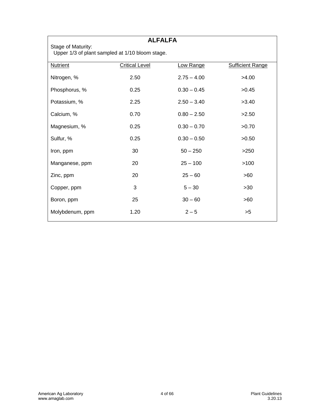| <b>ALFALFA</b>  |                                                                       |               |                         |  |
|-----------------|-----------------------------------------------------------------------|---------------|-------------------------|--|
|                 | Stage of Maturity:<br>Upper 1/3 of plant sampled at 1/10 bloom stage. |               |                         |  |
| <b>Nutrient</b> | <b>Critical Level</b>                                                 | Low Range     | <b>Sufficient Range</b> |  |
| Nitrogen, %     | 2.50                                                                  | $2.75 - 4.00$ | >4.00                   |  |
| Phosphorus, %   | 0.25                                                                  | $0.30 - 0.45$ | >0.45                   |  |
| Potassium, %    | 2.25                                                                  | $2.50 - 3.40$ | >3.40                   |  |
| Calcium, %      | 0.70                                                                  | $0.80 - 2.50$ | >2.50                   |  |
| Magnesium, %    | 0.25                                                                  | $0.30 - 0.70$ | >0.70                   |  |
| Sulfur, %       | 0.25                                                                  | $0.30 - 0.50$ | >0.50                   |  |
| Iron, ppm       | 30                                                                    | $50 - 250$    | >250                    |  |
| Manganese, ppm  | 20                                                                    | $25 - 100$    | >100                    |  |
| Zinc, ppm       | 20                                                                    | $25 - 60$     | >60                     |  |
| Copper, ppm     | 3                                                                     | $5 - 30$      | $>30$                   |  |
| Boron, ppm      | 25                                                                    | $30 - 60$     | >60                     |  |
| Molybdenum, ppm | 1.20                                                                  | $2 - 5$       | >5                      |  |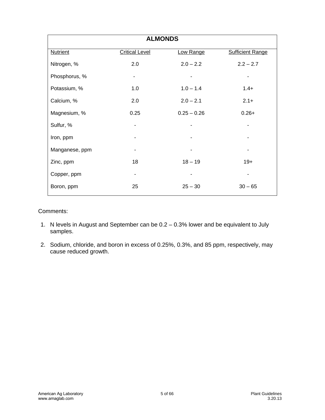| <b>ALMONDS</b>  |                       |               |                         |
|-----------------|-----------------------|---------------|-------------------------|
| <b>Nutrient</b> | <b>Critical Level</b> | Low Range     | <b>Sufficient Range</b> |
| Nitrogen, %     | 2.0                   | $2.0 - 2.2$   | $2.2 - 2.7$             |
| Phosphorus, %   | ۰                     |               |                         |
| Potassium, %    | 1.0                   | $1.0 - 1.4$   | $1.4+$                  |
| Calcium, %      | 2.0                   | $2.0 - 2.1$   | $2.1+$                  |
| Magnesium, %    | 0.25                  | $0.25 - 0.26$ | $0.26+$                 |
| Sulfur, %       |                       |               |                         |
| Iron, ppm       |                       |               |                         |
| Manganese, ppm  |                       |               |                         |
| Zinc, ppm       | 18                    | $18 - 19$     | $19+$                   |
| Copper, ppm     | $\blacksquare$        |               |                         |
| Boron, ppm      | 25                    | $25 - 30$     | $30 - 65$               |

#### Comments:

- 1. N levels in August and September can be 0.2 0.3% lower and be equivalent to July samples.
- 2. Sodium, chloride, and boron in excess of 0.25%, 0.3%, and 85 ppm, respectively, may cause reduced growth.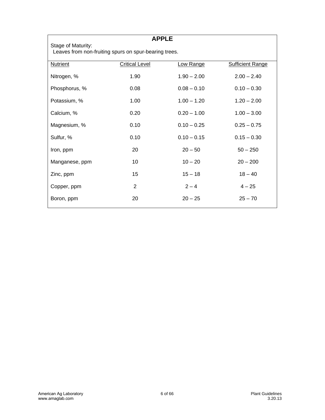| <b>APPLE</b>                                                                |                       |               |                         |
|-----------------------------------------------------------------------------|-----------------------|---------------|-------------------------|
| Stage of Maturity:<br>Leaves from non-fruiting spurs on spur-bearing trees. |                       |               |                         |
| <b>Nutrient</b>                                                             | <b>Critical Level</b> | Low Range     | <b>Sufficient Range</b> |
| Nitrogen, %                                                                 | 1.90                  | $1.90 - 2.00$ | $2.00 - 2.40$           |
| Phosphorus, %                                                               | 0.08                  | $0.08 - 0.10$ | $0.10 - 0.30$           |
| Potassium, %                                                                | 1.00                  | $1.00 - 1.20$ | $1.20 - 2.00$           |
| Calcium, %                                                                  | 0.20                  | $0.20 - 1.00$ | $1.00 - 3.00$           |
| Magnesium, %                                                                | 0.10                  | $0.10 - 0.25$ | $0.25 - 0.75$           |
| Sulfur, %                                                                   | 0.10                  | $0.10 - 0.15$ | $0.15 - 0.30$           |
| Iron, ppm                                                                   | 20                    | $20 - 50$     | $50 - 250$              |
| Manganese, ppm                                                              | 10                    | $10 - 20$     | $20 - 200$              |
| Zinc, ppm                                                                   | 15                    | $15 - 18$     | $18 - 40$               |
| Copper, ppm                                                                 | 2                     | $2 - 4$       | $4 - 25$                |
| Boron, ppm                                                                  | 20                    | $20 - 25$     | $25 - 70$               |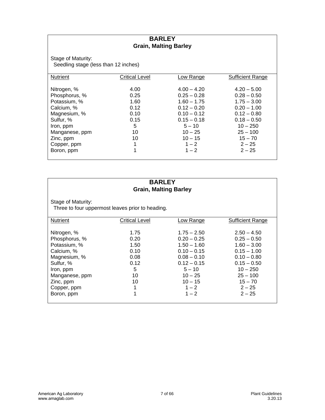#### **BARLEY Grain, Malting Barley**

Stage of Maturity: Seedling stage (less than 12 inches)

| <b>Nutrient</b> | <b>Critical Level</b> | Low Range     | <b>Sufficient Range</b> |
|-----------------|-----------------------|---------------|-------------------------|
|                 |                       |               |                         |
| Nitrogen, %     | 4.00                  | $4.00 - 4.20$ | $4.20 - 5.00$           |
| Phosphorus, %   | 0.25                  | $0.25 - 0.28$ | $0.28 - 0.50$           |
| Potassium, %    | 1.60                  | $1.60 - 1.75$ | $1.75 - 3.00$           |
| Calcium, %      | 0.12                  | $0.12 - 0.20$ | $0.20 - 1.00$           |
| Magnesium, %    | 0.10                  | $0.10 - 0.12$ | $0.12 - 0.80$           |
| Sulfur, %       | 0.15                  | $0.15 - 0.18$ | $0.18 - 0.50$           |
| Iron, ppm       | 5                     | $5 - 10$      | $10 - 250$              |
| Manganese, ppm  | 10                    | $10 - 25$     | $25 - 100$              |
| Zinc, ppm       | 10                    | $10 - 15$     | $15 - 70$               |
| Copper, ppm     | 1                     | $1 - 2$       | $2 - 25$                |
| Boron, ppm      | 1                     | $1 - 2$       | $2 - 25$                |
|                 |                       |               |                         |

#### **BARLEY Grain, Malting Barley**

Stage of Maturity:

Three to four uppermost leaves prior to heading.

| <b>Nutrient</b> | Critical Level | Low Range     | <b>Sufficient Range</b> |
|-----------------|----------------|---------------|-------------------------|
|                 |                |               |                         |
|                 |                |               |                         |
| Nitrogen, %     | 1.75           | $1.75 - 2.50$ | $2.50 - 4.50$           |
|                 |                |               |                         |
| Phosphorus, %   | 0.20           | $0.20 - 0.25$ | $0.25 - 0.50$           |
| Potassium, %    | 1.50           | $1.50 - 1.60$ | $1.60 - 3.00$           |
| Calcium, %      | 0.10           | $0.10 - 0.15$ | $0.15 - 1.00$           |
| Magnesium, %    | 0.08           | $0.08 - 0.10$ | $0.10 - 0.80$           |
| Sulfur, %       | 0.12           | $0.12 - 0.15$ | $0.15 - 0.50$           |
| Iron, ppm       | 5              | $5 - 10$      | $10 - 250$              |
| Manganese, ppm  | 10             | $10 - 25$     | $25 - 100$              |
| Zinc, ppm       | 10             | $10 - 15$     | $15 - 70$               |
| Copper, ppm     | 1              | $1 - 2$       | $2 - 25$                |
| Boron, ppm      | 1              | $1 - 2$       | $2 - 25$                |
|                 |                |               |                         |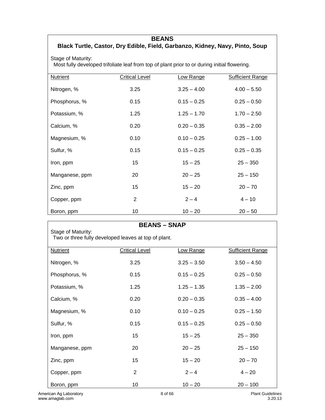#### **BEANS**

# **Black Turtle, Castor, Dry Edible, Field, Garbanzo, Kidney, Navy, Pinto, Soup**

Stage of Maturity:

Most fully developed trifoliate leaf from top of plant prior to or during initial flowering.

| Nutrient       | <b>Critical Level</b> | Low Range     | <b>Sufficient Range</b> |
|----------------|-----------------------|---------------|-------------------------|
| Nitrogen, %    | 3.25                  | $3.25 - 4.00$ | $4.00 - 5.50$           |
| Phosphorus, %  | 0.15                  | $0.15 - 0.25$ | $0.25 - 0.50$           |
| Potassium, %   | 1.25                  | $1.25 - 1.70$ | $1.70 - 2.50$           |
| Calcium, %     | 0.20                  | $0.20 - 0.35$ | $0.35 - 2.00$           |
| Magnesium, %   | 0.10                  | $0.10 - 0.25$ | $0.25 - 1.00$           |
| Sulfur, %      | 0.15                  | $0.15 - 0.25$ | $0.25 - 0.35$           |
| Iron, ppm      | 15                    | $15 - 25$     | $25 - 350$              |
| Manganese, ppm | 20                    | $20 - 25$     | $25 - 150$              |
| Zinc, ppm      | 15                    | $15 - 20$     | $20 - 70$               |
| Copper, ppm    | $\overline{2}$        | $2 - 4$       | $4 - 10$                |
| Boron, ppm     | 10                    | $10 - 20$     | $20 - 50$               |

| <b>BEANS - SNAP</b>    |                                                      |               |                         |
|------------------------|------------------------------------------------------|---------------|-------------------------|
| Stage of Maturity:     | Two or three fully developed leaves at top of plant. |               |                         |
|                        |                                                      |               |                         |
| <b>Nutrient</b>        | <b>Critical Level</b>                                | Low Range     | <b>Sufficient Range</b> |
| Nitrogen, %            | 3.25                                                 | $3.25 - 3.50$ | $3.50 - 4.50$           |
| Phosphorus, %          | 0.15                                                 | $0.15 - 0.25$ | $0.25 - 0.50$           |
| Potassium, %           | 1.25                                                 | $1.25 - 1.35$ | $1.35 - 2.00$           |
| Calcium, %             | 0.20                                                 | $0.20 - 0.35$ | $0.35 - 4.00$           |
| Magnesium, %           | 0.10                                                 | $0.10 - 0.25$ | $0.25 - 1.50$           |
| Sulfur, %              | 0.15                                                 | $0.15 - 0.25$ | $0.25 - 0.50$           |
| Iron, ppm              | 15                                                   | $15 - 25$     | $25 - 350$              |
| Manganese, ppm         | 20                                                   | $20 - 25$     | $25 - 150$              |
| Zinc, ppm              | 15                                                   | $15 - 20$     | $20 - 70$               |
| Copper, ppm            | $\overline{2}$                                       | $2 - 4$       | $4 - 20$                |
| Boron, ppm             | 10                                                   | $10 - 20$     | $20 - 100$              |
| American Ag Laboratory |                                                      | 8 of 66       | <b>Plant Guidelines</b> |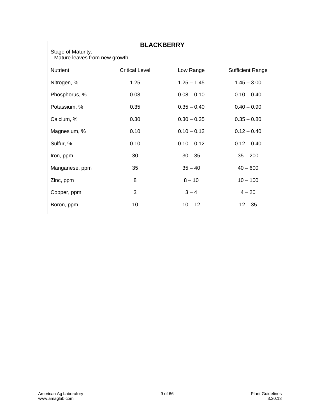Stage of Maturity:

# **BLACKBERRY**

Mature leaves from new growth.

| <b>Nutrient</b> | <b>Critical Level</b> | Low Range     | <b>Sufficient Range</b> |
|-----------------|-----------------------|---------------|-------------------------|
| Nitrogen, %     | 1.25                  | $1.25 - 1.45$ | $1.45 - 3.00$           |
| Phosphorus, %   | 0.08                  | $0.08 - 0.10$ | $0.10 - 0.40$           |
| Potassium, %    | 0.35                  | $0.35 - 0.40$ | $0.40 - 0.90$           |
| Calcium, %      | 0.30                  | $0.30 - 0.35$ | $0.35 - 0.80$           |
| Magnesium, %    | 0.10                  | $0.10 - 0.12$ | $0.12 - 0.40$           |
| Sulfur, %       | 0.10                  | $0.10 - 0.12$ | $0.12 - 0.40$           |
| Iron, ppm       | 30                    | $30 - 35$     | $35 - 200$              |
| Manganese, ppm  | 35                    | $35 - 40$     | $40 - 600$              |
| Zinc, ppm       | 8                     | $8 - 10$      | $10 - 100$              |
| Copper, ppm     | 3                     | $3 - 4$       | $4 - 20$                |
| Boron, ppm      | 10                    | $10 - 12$     | $12 - 35$               |
|                 |                       |               |                         |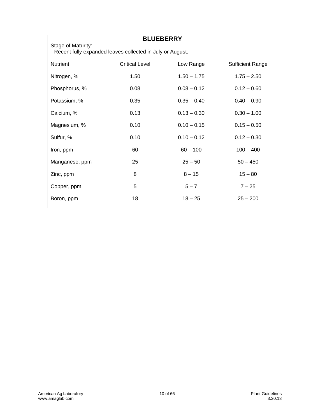| <b>BLUEBERRY</b>                                                                |                       |               |                         |
|---------------------------------------------------------------------------------|-----------------------|---------------|-------------------------|
| Stage of Maturity:<br>Recent fully expanded leaves collected in July or August. |                       |               |                         |
| <b>Nutrient</b>                                                                 | <b>Critical Level</b> | Low Range     | <b>Sufficient Range</b> |
| Nitrogen, %                                                                     | 1.50                  | $1.50 - 1.75$ | $1.75 - 2.50$           |
| Phosphorus, %                                                                   | 0.08                  | $0.08 - 0.12$ | $0.12 - 0.60$           |
| Potassium, %                                                                    | 0.35                  | $0.35 - 0.40$ | $0.40 - 0.90$           |
| Calcium, %                                                                      | 0.13                  | $0.13 - 0.30$ | $0.30 - 1.00$           |
| Magnesium, %                                                                    | 0.10                  | $0.10 - 0.15$ | $0.15 - 0.50$           |
| Sulfur, %                                                                       | 0.10                  | $0.10 - 0.12$ | $0.12 - 0.30$           |
| Iron, ppm                                                                       | 60                    | $60 - 100$    | $100 - 400$             |
| Manganese, ppm                                                                  | 25                    | $25 - 50$     | $50 - 450$              |
| Zinc, ppm                                                                       | 8                     | $8 - 15$      | $15 - 80$               |
| Copper, ppm                                                                     | 5                     | $5 - 7$       | $7 - 25$                |
| Boron, ppm                                                                      | 18                    | $18 - 25$     | $25 - 200$              |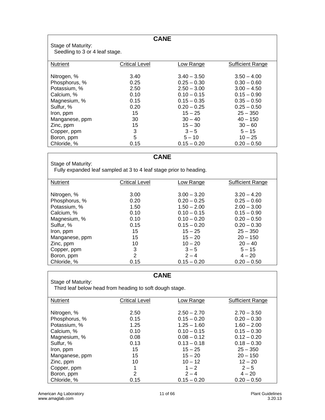| <b>CANE</b><br>Stage of Maturity:<br>Seedling to 3 or 4 leaf stage.                                                                                                             |                                                                                  |                                                                                                                                                                                   |                                                                                                                                                                                       |
|---------------------------------------------------------------------------------------------------------------------------------------------------------------------------------|----------------------------------------------------------------------------------|-----------------------------------------------------------------------------------------------------------------------------------------------------------------------------------|---------------------------------------------------------------------------------------------------------------------------------------------------------------------------------------|
| Nutrient                                                                                                                                                                        | Critical Level                                                                   | Low Range                                                                                                                                                                         | Sufficient Range                                                                                                                                                                      |
| Nitrogen, %<br>Phosphorus, %<br>Potassium, %<br>Calcium, %<br>Magnesium, %<br>Sulfur, %<br>Iron, ppm<br>Manganese, ppm<br>Zinc, ppm<br>Copper, ppm<br>Boron, ppm<br>Chloride, % | 3.40<br>0.25<br>2.50<br>0.10<br>0.15<br>0.20<br>15<br>30<br>15<br>3<br>5<br>0.15 | $3.40 - 3.50$<br>$0.25 - 0.30$<br>$2.50 - 3.00$<br>$0.10 - 0.15$<br>$0.15 - 0.35$<br>$0.20 - 0.25$<br>$15 - 25$<br>$30 - 40$<br>$15 - 30$<br>$3 - 5$<br>$5 - 10$<br>$0.15 - 0.20$ | $3.50 - 4.00$<br>$0.30 - 0.60$<br>$3.00 - 4.50$<br>$0.15 - 0.90$<br>$0.35 - 0.50$<br>$0.25 - 0.50$<br>$25 - 350$<br>$40 - 150$<br>$30 - 60$<br>$5 - 15$<br>$10 - 25$<br>$0.20 - 0.50$ |
|                                                                                                                                                                                 |                                                                                  |                                                                                                                                                                                   |                                                                                                                                                                                       |

#### **CANE**

Stage of Maturity: Fully expanded leaf sampled at 3 to 4 leaf stage prior to heading.

| <b>Nutrient</b> | <b>Critical Level</b> | Low Range     | <b>Sufficient Range</b> |
|-----------------|-----------------------|---------------|-------------------------|
|                 |                       |               |                         |
| Nitrogen, %     | 3.00                  | $3.00 - 3.20$ | $3.20 - 4.20$           |
| Phosphorus, %   | 0.20                  | $0.20 - 0.25$ | $0.25 - 0.60$           |
| Potassium, %    | 1.50                  | $1.50 - 2.00$ | $2.00 - 3.00$           |
| Calcium, %      | 0.10                  | $0.10 - 0.15$ | $0.15 - 0.90$           |
| Magnesium, %    | 0.10                  | $0.10 - 0.20$ | $0.20 - 0.50$           |
| Sulfur, %       | 0.15                  | $0.15 - 0.20$ | $0.20 - 0.30$           |
| Iron, ppm       | 15                    | $15 - 25$     | $25 - 350$              |
| Manganese, ppm  | 15                    | $15 - 20$     | $20 - 150$              |
| Zinc, ppm       | 10                    | $10 - 20$     | $20 - 40$               |
| Copper, ppm     | 3                     | $3 - 5$       | $5 - 15$                |
| Boron, ppm      | 2                     | $2 - 4$       | $4 - 20$                |
| Chloride, %     | 0.15                  | $0.15 - 0.20$ | $0.20 - 0.50$           |

#### **CANE**

Stage of Maturity:

Third leaf below head from heading to soft dough stage.

| <b>Nutrient</b> | <b>Critical Level</b> | Low Range     | <b>Sufficient Range</b> |
|-----------------|-----------------------|---------------|-------------------------|
|                 |                       |               |                         |
|                 |                       |               |                         |
| Nitrogen, %     | 2.50                  | $2.50 - 2.70$ | $2.70 - 3.50$           |
|                 |                       |               |                         |
| Phosphorus, %   | 0.15                  | $0.15 - 0.20$ | $0.20 - 0.30$           |
| Potassium, %    | 1.25                  | $1.25 - 1.60$ | $1.60 - 2.00$           |
| Calcium, %      | 0.10                  | $0.10 - 0.15$ | $0.15 - 0.30$           |
| Magnesium, %    | 0.08                  | $0.08 - 0.12$ | $0.12 - 0.20$           |
| Sulfur, %       | 0.13                  | $0.13 - 0.18$ | $0.18 - 0.30$           |
| Iron, ppm       | 15                    | $15 - 25$     | $25 - 350$              |
| Manganese, ppm  | 15                    | $15 - 20$     | $20 - 150$              |
| Zinc, ppm       | 10                    | $10 - 12$     | $12 - 20$               |
| Copper, ppm     | 1                     | $1 - 2$       | $2 - 5$                 |
| Boron, ppm      | 2                     | $2 - 4$       | $4 - 20$                |
| Chloride, %     | 0.15                  | $0.15 - 0.20$ | $0.20 - 0.50$           |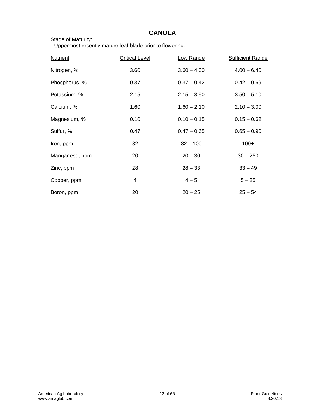| <b>CANOLA</b>                                                                  |                       |               |                         |  |
|--------------------------------------------------------------------------------|-----------------------|---------------|-------------------------|--|
| Stage of Maturity:<br>Uppermost recently mature leaf blade prior to flowering. |                       |               |                         |  |
| <b>Nutrient</b>                                                                | <b>Critical Level</b> | Low Range     | <b>Sufficient Range</b> |  |
| Nitrogen, %                                                                    | 3.60                  | $3.60 - 4.00$ | $4.00 - 6.40$           |  |
| Phosphorus, %                                                                  | 0.37                  | $0.37 - 0.42$ | $0.42 - 0.69$           |  |
| Potassium, %                                                                   | 2.15                  | $2.15 - 3.50$ | $3.50 - 5.10$           |  |
| Calcium, %                                                                     | 1.60                  | $1.60 - 2.10$ | $2.10 - 3.00$           |  |
| Magnesium, %                                                                   | 0.10                  | $0.10 - 0.15$ | $0.15 - 0.62$           |  |
| Sulfur, %                                                                      | 0.47                  | $0.47 - 0.65$ | $0.65 - 0.90$           |  |
| Iron, ppm                                                                      | 82                    | $82 - 100$    | $100+$                  |  |
| Manganese, ppm                                                                 | 20                    | $20 - 30$     | $30 - 250$              |  |
| Zinc, ppm                                                                      | 28                    | $28 - 33$     | $33 - 49$               |  |
| Copper, ppm                                                                    | 4                     | $4 - 5$       | $5 - 25$                |  |
| Boron, ppm                                                                     | 20                    | $20 - 25$     | $25 - 54$               |  |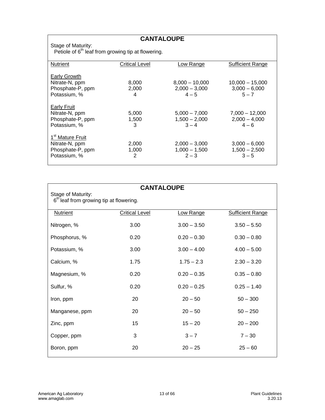**CANTALOUPE** 

Stage of Maturity:

Petiole of  $6<sup>th</sup>$  leaf from growing tip at flowering.

| <b>Nutrient</b>              | <b>Critical Level</b> | Low Range        | <b>Sufficient Range</b> |
|------------------------------|-----------------------|------------------|-------------------------|
|                              |                       |                  |                         |
| Early Growth                 |                       |                  |                         |
| Nitrate-N, ppm               | 8,000                 | $8.000 - 10.000$ | $10.000 - 15.000$       |
|                              |                       |                  |                         |
| Phosphate-P, ppm             | 2,000                 | $2,000 - 3,000$  | $3,000 - 6,000$         |
| Potassium, %                 | 4                     | $4 - 5$          | $5 - 7$                 |
|                              |                       |                  |                         |
| Early Fruit                  |                       |                  |                         |
| Nitrate-N, ppm               | 5,000                 | $5,000 - 7,000$  | $7,000 - 12,000$        |
|                              |                       |                  |                         |
| Phosphate-P, ppm             | 1,500                 | $1,500 - 2,000$  | $2,000 - 4,000$         |
| Potassium, %                 | 3                     | $3 - 4$          | $4 - 6$                 |
|                              |                       |                  |                         |
| 1 <sup>st</sup> Mature Fruit |                       |                  |                         |
|                              |                       |                  |                         |
| Nitrate-N, ppm               | 2,000                 | $2,000 - 3,000$  | $3,000 - 6,000$         |
| Phosphate-P, ppm             | 1,000                 | $1,000 - 1,500$  | $1,500 - 2,500$         |
| Potassium, %                 | 2                     | $2 - 3$          | $3 - 5$                 |
|                              |                       |                  |                         |
|                              |                       |                  |                         |

### **CANTALOUPE**

Stage of Maturity:

 $6<sup>th</sup>$  leaf from growing tip at flowering.

| <b>Nutrient</b> | <b>Critical Level</b> | Low Range     | <b>Sufficient Range</b> |
|-----------------|-----------------------|---------------|-------------------------|
| Nitrogen, %     | 3.00                  | $3.00 - 3.50$ | $3.50 - 5.50$           |
| Phosphorus, %   | 0.20                  | $0.20 - 0.30$ | $0.30 - 0.80$           |
| Potassium, %    | 3.00                  | $3.00 - 4.00$ | $4.00 - 5.00$           |
| Calcium, %      | 1.75                  | $1.75 - 2.3$  | $2.30 - 3.20$           |
| Magnesium, %    | 0.20                  | $0.20 - 0.35$ | $0.35 - 0.80$           |
| Sulfur, %       | 0.20                  | $0.20 - 0.25$ | $0.25 - 1.40$           |
| Iron, ppm       | 20                    | $20 - 50$     | $50 - 300$              |
| Manganese, ppm  | 20                    | $20 - 50$     | $50 - 250$              |
| Zinc, ppm       | 15                    | $15 - 20$     | $20 - 200$              |
| Copper, ppm     | 3                     | $3 - 7$       | $7 - 30$                |
| Boron, ppm      | 20                    | $20 - 25$     | $25 - 60$               |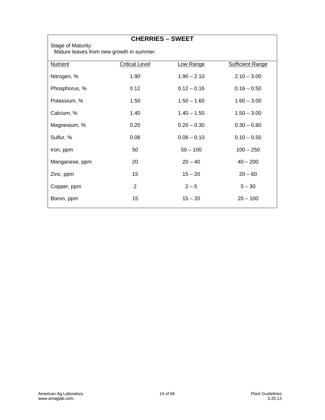Stage of Maturity:

#### **CHERRIES – SWEET**

Mature leaves from new growth in summer.

| <b>Nutrient</b> | <b>Critical Level</b> | Low Range     | <b>Sufficient Range</b> |
|-----------------|-----------------------|---------------|-------------------------|
| Nitrogen, %     | 1.90                  | $1.90 - 2.10$ | $2.10 - 3.00$           |
| Phosphorus, %   | 0.12                  | $0.12 - 0.16$ | $0.16 - 0.50$           |
| Potassium, %    | 1.50                  | $1.50 - 1.60$ | $1.60 - 3.00$           |
| Calcium, %      | 1.40                  | $1.40 - 1.50$ | $1.50 - 3.00$           |
| Magnesium, %    | 0.20                  | $0.20 - 0.30$ | $0.30 - 0.80$           |
| Sulfur, %       | 0.08                  | $0.08 - 0.10$ | $0.10 - 0.50$           |
| Iron, ppm       | 50                    | $50 - 100$    | $100 - 250$             |
| Manganese, ppm  | 20                    | $20 - 40$     | $40 - 200$              |
| Zinc, ppm       | 15                    | $15 - 20$     | $20 - 60$               |
| Copper, ppm     | 2                     | $2 - 5$       | $5 - 30$                |
| Boron, ppm      | 15                    | $15 - 20$     | $20 - 100$              |
|                 |                       |               |                         |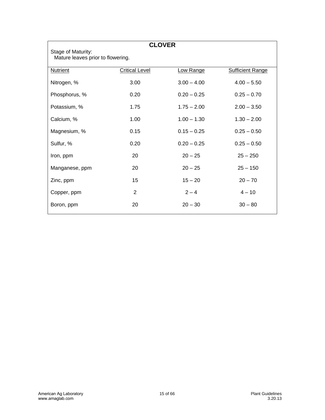| <b>CLOVER</b>                                           |                       |               |                         |
|---------------------------------------------------------|-----------------------|---------------|-------------------------|
| Stage of Maturity:<br>Mature leaves prior to flowering. |                       |               |                         |
| <b>Nutrient</b>                                         | <b>Critical Level</b> | Low Range     | <b>Sufficient Range</b> |
| Nitrogen, %                                             | 3.00                  | $3.00 - 4.00$ | $4.00 - 5.50$           |
| Phosphorus, %                                           | 0.20                  | $0.20 - 0.25$ | $0.25 - 0.70$           |
| Potassium, %                                            | 1.75                  | $1.75 - 2.00$ | $2.00 - 3.50$           |
| Calcium, %                                              | 1.00                  | $1.00 - 1.30$ | $1.30 - 2.00$           |
| Magnesium, %                                            | 0.15                  | $0.15 - 0.25$ | $0.25 - 0.50$           |
| Sulfur, %                                               | 0.20                  | $0.20 - 0.25$ | $0.25 - 0.50$           |
| Iron, ppm                                               | 20                    | $20 - 25$     | $25 - 250$              |
| Manganese, ppm                                          | 20                    | $20 - 25$     | $25 - 150$              |
| Zinc, ppm                                               | 15                    | $15 - 20$     | $20 - 70$               |
| Copper, ppm                                             | 2                     | $2 - 4$       | $4 - 10$                |
| Boron, ppm                                              | 20                    | $20 - 30$     | $30 - 80$               |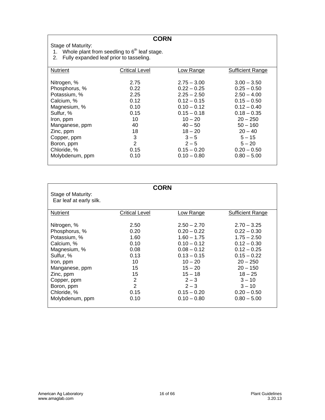#### **CORN**

Stage of Maturity:

- 1. Whole plant from seedling to  $6<sup>th</sup>$  leaf stage.
- 2. Fully expanded leaf prior to tasseling.

| <b>Nutrient</b> | <b>Critical Level</b> | Low Range     | <b>Sufficient Range</b> |
|-----------------|-----------------------|---------------|-------------------------|
|                 |                       |               |                         |
| Nitrogen, %     | 2.75                  | $2.75 - 3.00$ | $3.00 - 3.50$           |
| Phosphorus, %   | 0.22                  | $0.22 - 0.25$ | $0.25 - 0.50$           |
| Potassium, %    | 2.25                  | $2.25 - 2.50$ | $2.50 - 4.00$           |
| Calcium, %      | 0.12                  | $0.12 - 0.15$ | $0.15 - 0.50$           |
| Magnesium, %    | 0.10                  | $0.10 - 0.12$ | $0.12 - 0.40$           |
| Sulfur, %       | 0.15                  | $0.15 - 0.18$ | $0.18 - 0.35$           |
| Iron, ppm       | 10                    | $10 - 20$     | $20 - 250$              |
| Manganese, ppm  | 40                    | $40 - 50$     | $50 - 160$              |
| Zinc, ppm       | 18                    | $18 - 20$     | $20 - 40$               |
| Copper, ppm     | 3                     | $3 - 5$       | $5 - 15$                |
| Boron, ppm      | $\overline{2}$        | $2 - 5$       | $5 - 20$                |
| Chloride, %     | 0.15                  | $0.15 - 0.20$ | $0.20 - 0.50$           |
| Molybdenum, ppm | 0.10                  | $0.10 - 0.80$ | $0.80 - 5.00$           |
|                 |                       |               |                         |

| Stage of Maturity:<br>Ear leaf at early silk.                                                                                                                                                      | <b>CORN</b>                                                                              |                                                                                                                                                                                                   |                                                                                                                                                                                                       |
|----------------------------------------------------------------------------------------------------------------------------------------------------------------------------------------------------|------------------------------------------------------------------------------------------|---------------------------------------------------------------------------------------------------------------------------------------------------------------------------------------------------|-------------------------------------------------------------------------------------------------------------------------------------------------------------------------------------------------------|
| <b>Nutrient</b>                                                                                                                                                                                    | Critical Level                                                                           | Low Range                                                                                                                                                                                         | <b>Sufficient Range</b>                                                                                                                                                                               |
| Nitrogen, %<br>Phosphorus, %<br>Potassium, %<br>Calcium, %<br>Magnesium, %<br>Sulfur, %<br>Iron, ppm<br>Manganese, ppm<br>Zinc, ppm<br>Copper, ppm<br>Boron, ppm<br>Chloride, %<br>Molybdenum, ppm | 2.50<br>0.20<br>1.60<br>0.10<br>0.08<br>0.13<br>10<br>15<br>15<br>2<br>2<br>0.15<br>0.10 | $2.50 - 2.70$<br>$0.20 - 0.22$<br>$1.60 - 1.75$<br>$0.10 - 0.12$<br>$0.08 - 0.12$<br>$0.13 - 0.15$<br>$10 - 20$<br>$15 - 20$<br>$15 - 18$<br>$2 - 3$<br>$2 - 3$<br>$0.15 - 0.20$<br>$0.10 - 0.80$ | $2.70 - 3.25$<br>$0.22 - 0.30$<br>$1.75 - 2.50$<br>$0.12 - 0.30$<br>$0.12 - 0.25$<br>$0.15 - 0.22$<br>$20 - 250$<br>$20 - 150$<br>$18 - 25$<br>$3 - 10$<br>$3 - 10$<br>$0.20 - 0.50$<br>$0.80 - 5.00$ |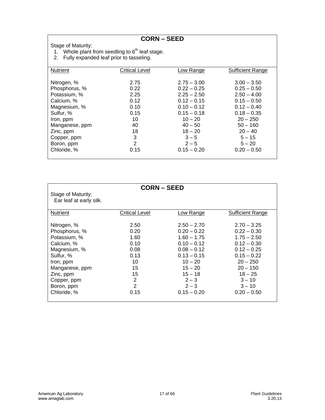**CORN – SEED** 

Stage of Maturity:

1. Whole plant from seedling to  $6<sup>th</sup>$  leaf stage.

2. Fully expanded leaf prior to tasseling.

| <b>Nutrient</b> | <b>Critical Level</b> | <u>Low Range</u> | <b>Sufficient Range</b> |
|-----------------|-----------------------|------------------|-------------------------|
|                 |                       |                  |                         |
| Nitrogen, %     | 2.75                  | $2.75 - 3.00$    | $3.00 - 3.50$           |
| Phosphorus, %   | 0.22                  | $0.22 - 0.25$    | $0.25 - 0.50$           |
| Potassium, %    | 2.25                  | $2.25 - 2.50$    | $2.50 - 4.00$           |
| Calcium, %      | 0.12                  | $0.12 - 0.15$    | $0.15 - 0.50$           |
| Magnesium, %    | 0.10                  | $0.10 - 0.12$    | $0.12 - 0.40$           |
| Sulfur, %       | 0.15                  | $0.15 - 0.18$    | $0.18 - 0.35$           |
| Iron, ppm       | 10                    | $10 - 20$        | $20 - 250$              |
| Manganese, ppm  | 40                    | $40 - 50$        | $50 - 160$              |
| Zinc, ppm       | 18                    | $18 - 20$        | $20 - 40$               |
| Copper, ppm     | 3                     | $3 - 5$          | $5 - 15$                |
| Boron, ppm      | 2                     | $2 - 5$          | $5 - 20$                |
| Chloride, %     | 0.15                  | $0.15 - 0.20$    | $0.20 - 0.50$           |
|                 |                       |                  |                         |

| <b>CORN-SEED</b><br>Stage of Maturity:<br>Ear leaf at early silk.<br>Nutrient<br>Critical Level<br>Low Range<br><b>Sufficient Range</b>                                                                                                                                                                                                                                                                                                                                                                                                                                                                                                                      |  |
|--------------------------------------------------------------------------------------------------------------------------------------------------------------------------------------------------------------------------------------------------------------------------------------------------------------------------------------------------------------------------------------------------------------------------------------------------------------------------------------------------------------------------------------------------------------------------------------------------------------------------------------------------------------|--|
|                                                                                                                                                                                                                                                                                                                                                                                                                                                                                                                                                                                                                                                              |  |
|                                                                                                                                                                                                                                                                                                                                                                                                                                                                                                                                                                                                                                                              |  |
| Nitrogen, %<br>2.50<br>$2.50 - 2.70$<br>$2.70 - 3.25$<br>Phosphorus, %<br>0.20<br>$0.20 - 0.22$<br>$0.22 - 0.30$<br>Potassium, %<br>1.60<br>$1.60 - 1.75$<br>$1.75 - 2.50$<br>$0.10 - 0.12$<br>$0.12 - 0.30$<br>0.10<br>Calcium, %<br>Magnesium, %<br>$0.08 - 0.12$<br>$0.12 - 0.25$<br>0.08<br>0.13<br>$0.13 - 0.15$<br>$0.15 - 0.22$<br>Sulfur, %<br>10<br>$10 - 20$<br>$20 - 250$<br>Iron, ppm<br>15<br>$15 - 20$<br>$20 - 150$<br>Manganese, ppm<br>$15 - 18$<br>15<br>$18 - 25$<br>Zinc, ppm<br>2<br>$2 - 3$<br>$3 - 10$<br>Copper, ppm<br>$\overline{2}$<br>$2 - 3$<br>$3 - 10$<br>Boron, ppm<br>$0.15 - 0.20$<br>Chloride, %<br>$0.20 - 0.50$<br>0.15 |  |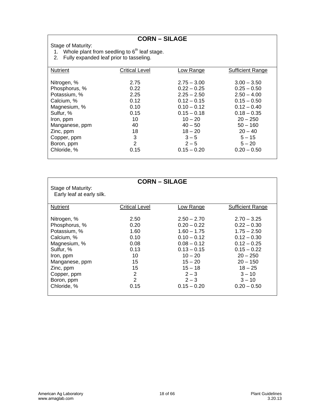**CORN – SILAGE** 

Stage of Maturity:

1. Whole plant from seedling to  $6<sup>th</sup>$  leaf stage.

2. Fully expanded leaf prior to tasseling.

| Nutrient       | <b>Critical Level</b> | <u>Low Range</u> | <b>Sufficient Range</b> |
|----------------|-----------------------|------------------|-------------------------|
|                |                       |                  |                         |
| Nitrogen, %    | 2.75                  | $2.75 - 3.00$    | $3.00 - 3.50$           |
| Phosphorus, %  | 0.22                  | $0.22 - 0.25$    | $0.25 - 0.50$           |
| Potassium, %   | 2.25                  | $2.25 - 2.50$    | $2.50 - 4.00$           |
| Calcium, %     | 0.12                  | $0.12 - 0.15$    | $0.15 - 0.50$           |
| Magnesium, %   | 0.10                  | $0.10 - 0.12$    | $0.12 - 0.40$           |
| Sulfur, %      | 0.15                  | $0.15 - 0.18$    | $0.18 - 0.35$           |
| Iron, ppm      | 10                    | $10 - 20$        | $20 - 250$              |
| Manganese, ppm | 40                    | $40 - 50$        | $50 - 160$              |
| Zinc, ppm      | 18                    | $18 - 20$        | $20 - 40$               |
| Copper, ppm    | 3                     | $3 - 5$          | $5 - 15$                |
| Boron, ppm     | 2                     | $2 - 5$          | $5 - 20$                |
| Chloride, %    | 0.15                  | $0.15 - 0.20$    | $0.20 - 0.50$           |
|                |                       |                  |                         |

| <b>CORN – SILAGE</b>                                                                                                                                                                                                                                                                                                                                                                                                                                                 |                                                                                                                                                                                      |
|----------------------------------------------------------------------------------------------------------------------------------------------------------------------------------------------------------------------------------------------------------------------------------------------------------------------------------------------------------------------------------------------------------------------------------------------------------------------|--------------------------------------------------------------------------------------------------------------------------------------------------------------------------------------|
| Stage of Maturity:<br>Early leaf at early silk.                                                                                                                                                                                                                                                                                                                                                                                                                      |                                                                                                                                                                                      |
| <b>Nutrient</b><br>Critical Level<br>Low Range                                                                                                                                                                                                                                                                                                                                                                                                                       | Sufficient Range                                                                                                                                                                     |
| 2.50<br>$2.50 - 2.70$<br>Nitrogen, %<br>Phosphorus, %<br>0.20<br>$0.20 - 0.22$<br>Potassium, %<br>1.60<br>$1.60 - 1.75$<br>0.10<br>$0.10 - 0.12$<br>Calcium, %<br>Magnesium, %<br>$0.08 - 0.12$<br>0.08<br>0.13<br>$0.13 - 0.15$<br>Sulfur, %<br>10<br>$10 - 20$<br>Iron, ppm<br>15<br>$15 - 20$<br>Manganese, ppm<br>15<br>$15 - 18$<br>Zinc, ppm<br>2<br>$2 - 3$<br>Copper, ppm<br>$\overline{2}$<br>$2 - 3$<br>Boron, ppm<br>$0.15 - 0.20$<br>Chloride, %<br>0.15 | $2.70 - 3.25$<br>$0.22 - 0.30$<br>$1.75 - 2.50$<br>$0.12 - 0.30$<br>$0.12 - 0.25$<br>$0.15 - 0.22$<br>$20 - 250$<br>$20 - 150$<br>$18 - 25$<br>$3 - 10$<br>$3 - 10$<br>$0.20 - 0.50$ |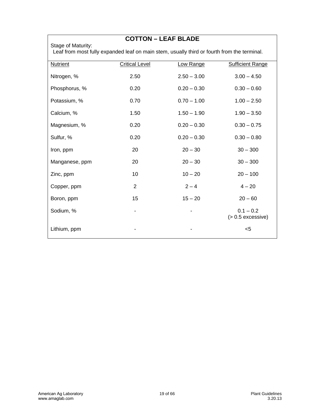Stage of Maturity:

#### **COTTON – LEAF BLADE**

Leaf from most fully expanded leaf on main stem, usually third or fourth from the terminal.

| <b>Nutrient</b> | <b>Critical Level</b> | Low Range     | <b>Sufficient Range</b>            |
|-----------------|-----------------------|---------------|------------------------------------|
| Nitrogen, %     | 2.50                  | $2.50 - 3.00$ | $3.00 - 4.50$                      |
| Phosphorus, %   | 0.20                  | $0.20 - 0.30$ | $0.30 - 0.60$                      |
| Potassium, %    | 0.70                  | $0.70 - 1.00$ | $1.00 - 2.50$                      |
| Calcium, %      | 1.50                  | $1.50 - 1.90$ | $1.90 - 3.50$                      |
| Magnesium, %    | 0.20                  | $0.20 - 0.30$ | $0.30 - 0.75$                      |
| Sulfur, %       | 0.20                  | $0.20 - 0.30$ | $0.30 - 0.80$                      |
| Iron, ppm       | 20                    | $20 - 30$     | $30 - 300$                         |
| Manganese, ppm  | 20                    | $20 - 30$     | $30 - 300$                         |
| Zinc, ppm       | 10                    | $10 - 20$     | $20 - 100$                         |
| Copper, ppm     | 2                     | $2 - 4$       | $4 - 20$                           |
| Boron, ppm      | 15                    | $15 - 20$     | $20 - 60$                          |
| Sodium, %       |                       |               | $0.1 - 0.2$<br>$(> 0.5$ excessive) |
| Lithium, ppm    |                       |               | $5$                                |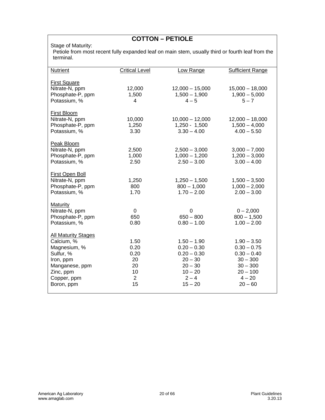# **COTTON – PETIOLE**

#### Stage of Maturity:

Petiole from most recent fully expanded leaf on main stem, usually third or fourth leaf from the terminal.

| <b>Nutrient</b>                                                          | <b>Critical Level</b>   | Low Range                                             | <b>Sufficient Range</b>                               |
|--------------------------------------------------------------------------|-------------------------|-------------------------------------------------------|-------------------------------------------------------|
| <b>First Square</b><br>Nitrate-N, ppm<br>Phosphate-P, ppm                | 12,000<br>1,500         | $12,000 - 15,000$<br>$1,500 - 1,900$                  | $15,000 - 18,000$<br>$1,900 - 5,000$                  |
| Potassium, %                                                             | 4                       | $4 - 5$                                               | $5 - 7$                                               |
| <b>First Bloom</b><br>Nitrate-N, ppm<br>Phosphate-P, ppm<br>Potassium, % | 10,000<br>1,250<br>3.30 | $10,000 - 12,000$<br>$1,250 - 1,500$<br>$3.30 - 4.00$ | $12,000 - 18,000$<br>$1,500 - 4,000$<br>$4.00 - 5.50$ |
| Peak Bloom                                                               |                         |                                                       |                                                       |
| Nitrate-N, ppm<br>Phosphate-P, ppm                                       | 2,500<br>1,000          | $2,500 - 3,000$<br>$1,000 - 1,200$                    | $3,000 - 7,000$<br>$1,200 - 3,000$                    |
| Potassium, %                                                             | 2.50                    | $2.50 - 3.00$                                         | $3.00 - 4.00$                                         |
| First Open Boll                                                          |                         |                                                       |                                                       |
| Nitrate-N, ppm<br>Phosphate-P, ppm                                       | 1,250<br>800            | $1,250 - 1,500$<br>$800 - 1,000$                      | $1,500 - 3,500$<br>$1,000 - 2,000$                    |
| Potassium, %                                                             | 1.70                    | $1.70 - 2.00$                                         | $2.00 - 3.00$                                         |
| <b>Maturity</b>                                                          |                         |                                                       |                                                       |
| Nitrate-N, ppm                                                           | $\mathbf 0$             | $\Omega$                                              | $0 - 2,000$                                           |
| Phosphate-P, ppm<br>Potassium, %                                         | 650<br>0.80             | $650 - 800$<br>$0.80 - 1.00$                          | $800 - 1,500$<br>$1.00 - 2.00$                        |
| <b>All Maturity Stages</b>                                               |                         |                                                       |                                                       |
| Calcium, %                                                               | 1.50                    | $1.50 - 1.90$                                         | $1.90 - 3.50$                                         |
| Magnesium, %<br>Sulfur, %                                                | 0.20<br>0.20            | $0.20 - 0.30$<br>$0.20 - 0.30$                        | $0.30 - 0.75$<br>$0.30 - 0.40$                        |
| Iron, ppm                                                                | 20                      | $20 - 30$                                             | $30 - 300$                                            |
| Manganese, ppm                                                           | 20                      | $20 - 30$                                             | $30 - 300$                                            |
| Zinc, ppm                                                                | 10                      | $10 - 20$                                             | $20 - 100$                                            |
| Copper, ppm                                                              | $\overline{2}$          | $2 - 4$                                               | $4 - 20$                                              |
| Boron, ppm                                                               | 15                      | $15 - 20$                                             | $20 - 60$                                             |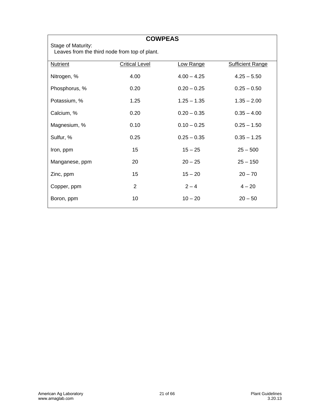|                                                                     | <b>COWPEAS</b>        |               |                         |
|---------------------------------------------------------------------|-----------------------|---------------|-------------------------|
| Stage of Maturity:<br>Leaves from the third node from top of plant. |                       |               |                         |
| <b>Nutrient</b>                                                     | <b>Critical Level</b> | Low Range     | <b>Sufficient Range</b> |
| Nitrogen, %                                                         | 4.00                  | $4.00 - 4.25$ | $4.25 - 5.50$           |
| Phosphorus, %                                                       | 0.20                  | $0.20 - 0.25$ | $0.25 - 0.50$           |
| Potassium, %                                                        | 1.25                  | $1.25 - 1.35$ | $1.35 - 2.00$           |
| Calcium, %                                                          | 0.20                  | $0.20 - 0.35$ | $0.35 - 4.00$           |
| Magnesium, %                                                        | 0.10                  | $0.10 - 0.25$ | $0.25 - 1.50$           |
| Sulfur, %                                                           | 0.25                  | $0.25 - 0.35$ | $0.35 - 1.25$           |
| Iron, ppm                                                           | 15                    | $15 - 25$     | $25 - 500$              |
| Manganese, ppm                                                      | 20                    | $20 - 25$     | $25 - 150$              |
| Zinc, ppm                                                           | 15                    | $15 - 20$     | $20 - 70$               |
| Copper, ppm                                                         | 2                     | $2 - 4$       | $4 - 20$                |
| Boron, ppm                                                          | 10                    | $10 - 20$     | $20 - 50$               |

 $\mathsf{r}$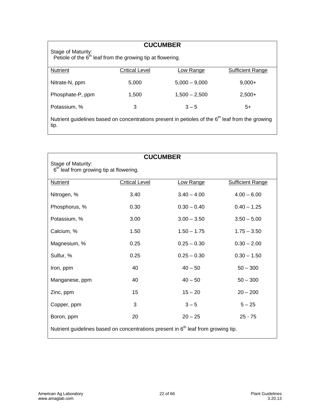| <b>CUCUMBER</b><br>Stage of Maturity:<br>Petiole of the $6th$ leaf from the growing tip at flowering.                |                       |                                    |                         |
|----------------------------------------------------------------------------------------------------------------------|-----------------------|------------------------------------|-------------------------|
| Nutrient                                                                                                             | <b>Critical Level</b> | Low Range                          | <b>Sufficient Range</b> |
| Nitrate-N, ppm<br>Phosphate-P, ppm                                                                                   | 5.000<br>1.500        | $5.000 - 9.000$<br>$1,500 - 2,500$ | $9.000+$<br>$2,500+$    |
| Potassium, %                                                                                                         | 3                     | $3 - 5$                            | 5+                      |
|                                                                                                                      |                       |                                    |                         |
| Nutrient guidelines based on concentrations present in petioles of the 6 <sup>th</sup> leaf from the growing<br>tip. |                       |                                    |                         |

| <b>CUCUMBER</b>                                                                               |                                                                           |               |                         |  |
|-----------------------------------------------------------------------------------------------|---------------------------------------------------------------------------|---------------|-------------------------|--|
|                                                                                               | Stage of Maturity:<br>6 <sup>th</sup> leaf from growing tip at flowering. |               |                         |  |
| Nutrient                                                                                      | <b>Critical Level</b>                                                     | Low Range     | <b>Sufficient Range</b> |  |
| Nitrogen, %                                                                                   | 3.40                                                                      | $3.40 - 4.00$ | $4.00 - 6.00$           |  |
| Phosphorus, %                                                                                 | 0.30                                                                      | $0.30 - 0.40$ | $0.40 - 1.25$           |  |
| Potassium, %                                                                                  | 3.00                                                                      | $3.00 - 3.50$ | $3.50 - 5.00$           |  |
| Calcium, %                                                                                    | 1.50                                                                      | $1.50 - 1.75$ | $1.75 - 3.50$           |  |
| Magnesium, %                                                                                  | 0.25                                                                      | $0.25 - 0.30$ | $0.30 - 2.00$           |  |
| Sulfur, %                                                                                     | 0.25                                                                      | $0.25 - 0.30$ | $0.30 - 1.50$           |  |
| Iron, ppm                                                                                     | 40                                                                        | $40 - 50$     | $50 - 300$              |  |
| Manganese, ppm                                                                                | 40                                                                        | $40 - 50$     | $50 - 300$              |  |
| Zinc, ppm                                                                                     | 15                                                                        | $15 - 20$     | $20 - 200$              |  |
| Copper, ppm                                                                                   | 3                                                                         | $3 - 5$       | $5 - 25$                |  |
| Boron, ppm                                                                                    | 20                                                                        | $20 - 25$     | $25 - 75$               |  |
| Nutrient guidelines based on concentrations present in 6 <sup>th</sup> leaf from growing tip. |                                                                           |               |                         |  |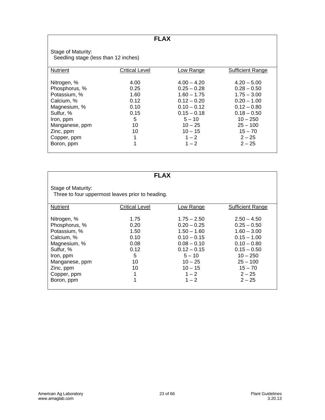**FLAX**

Stage of Maturity: Seedling stage (less than 12 inches)

| <b>Nutrient</b> | Critical Level | Low Range     | <b>Sufficient Range</b> |
|-----------------|----------------|---------------|-------------------------|
|                 |                |               |                         |
| Nitrogen, %     | 4.00           | $4.00 - 4.20$ | $4.20 - 5.00$           |
| Phosphorus, %   | 0.25           | $0.25 - 0.28$ | $0.28 - 0.50$           |
| Potassium, %    | 1.60           | $1.60 - 1.75$ | $1.75 - 3.00$           |
| Calcium, %      | 0.12           | $0.12 - 0.20$ | $0.20 - 1.00$           |
| Magnesium, %    | 0.10           | $0.10 - 0.12$ | $0.12 - 0.80$           |
| Sulfur, %       | 0.15           | $0.15 - 0.18$ | $0.18 - 0.50$           |
| Iron, ppm       | 5              | $5 - 10$      | $10 - 250$              |
| Manganese, ppm  | 10             | $10 - 25$     | $25 - 100$              |
| Zinc, ppm       | 10             | $10 - 15$     | $15 - 70$               |
| Copper, ppm     | 1              | $1 - 2$       | $2 - 25$                |
| Boron, ppm      | 1              | $1 - 2$       | $2 - 25$                |
|                 |                |               |                         |

|                                                                                                                                                                  | <b>FLAX</b>                                                             |                                                                                                                                                                |                                                                                                                                                                     |
|------------------------------------------------------------------------------------------------------------------------------------------------------------------|-------------------------------------------------------------------------|----------------------------------------------------------------------------------------------------------------------------------------------------------------|---------------------------------------------------------------------------------------------------------------------------------------------------------------------|
| Stage of Maturity:<br>Three to four uppermost leaves prior to heading.                                                                                           |                                                                         |                                                                                                                                                                |                                                                                                                                                                     |
| <b>Nutrient</b>                                                                                                                                                  | Critical Level                                                          | Low Range                                                                                                                                                      | Sufficient Range                                                                                                                                                    |
| Nitrogen, %<br>Phosphorus, %<br>Potassium, %<br>Calcium, %<br>Magnesium, %<br>Sulfur, %<br>Iron, ppm<br>Manganese, ppm<br>Zinc, ppm<br>Copper, ppm<br>Boron, ppm | 1.75<br>0.20<br>1.50<br>0.10<br>0.08<br>0.12<br>5<br>10<br>10<br>1<br>1 | $1.75 - 2.50$<br>$0.20 - 0.25$<br>$1.50 - 1.60$<br>$0.10 - 0.15$<br>$0.08 - 0.10$<br>$0.12 - 0.15$<br>$5 - 10$<br>$10 - 25$<br>$10 - 15$<br>$1 - 2$<br>$1 - 2$ | $2.50 - 4.50$<br>$0.25 - 0.50$<br>$1.60 - 3.00$<br>$0.15 - 1.00$<br>$0.10 - 0.80$<br>$0.15 - 0.50$<br>$10 - 250$<br>$25 - 100$<br>$15 - 70$<br>$2 - 25$<br>$2 - 25$ |
|                                                                                                                                                                  |                                                                         |                                                                                                                                                                |                                                                                                                                                                     |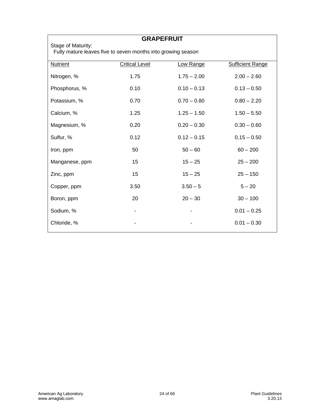| <b>GRAPEFRUIT</b><br>Stage of Maturity:                      |                       |               |                         |
|--------------------------------------------------------------|-----------------------|---------------|-------------------------|
| Fully mature leaves five to seven months into growing season |                       |               |                         |
| <b>Nutrient</b>                                              | <b>Critical Level</b> | Low Range     | <b>Sufficient Range</b> |
| Nitrogen, %                                                  | 1.75                  | $1.75 - 2.00$ | $2.00 - 2.60$           |
| Phosphorus, %                                                | 0.10                  | $0.10 - 0.13$ | $0.13 - 0.50$           |
| Potassium, %                                                 | 0.70                  | $0.70 - 0.80$ | $0.80 - 2.20$           |
| Calcium, %                                                   | 1.25                  | $1.25 - 1.50$ | $1.50 - 5.50$           |
| Magnesium, %                                                 | 0.20                  | $0.20 - 0.30$ | $0.30 - 0.60$           |
| Sulfur, %                                                    | 0.12                  | $0.12 - 0.15$ | $0.15 - 0.50$           |
| Iron, ppm                                                    | 50                    | $50 - 60$     | $60 - 200$              |
| Manganese, ppm                                               | 15                    | $15 - 25$     | $25 - 200$              |
| Zinc, ppm                                                    | 15                    | $15 - 25$     | $25 - 150$              |
| Copper, ppm                                                  | 3.50                  | $3.50 - 5$    | $5 - 20$                |
| Boron, ppm                                                   | 20                    | $20 - 30$     | $30 - 100$              |
| Sodium, %                                                    |                       |               | $0.01 - 0.25$           |
| Chloride, %                                                  |                       |               | $0.01 - 0.30$           |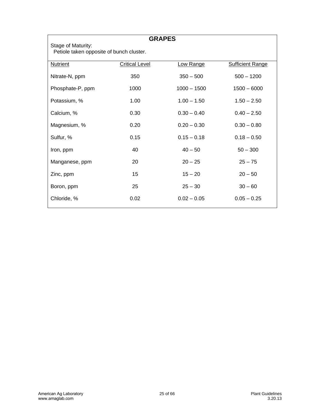| <b>GRAPES</b><br>Stage of Maturity:<br>Petiole taken opposite of bunch cluster. |                       |               |                         |
|---------------------------------------------------------------------------------|-----------------------|---------------|-------------------------|
| <b>Nutrient</b>                                                                 | <b>Critical Level</b> | Low Range     | <b>Sufficient Range</b> |
| Nitrate-N, ppm                                                                  | 350                   | $350 - 500$   | $500 - 1200$            |
| Phosphate-P, ppm                                                                | 1000                  | $1000 - 1500$ | $1500 - 6000$           |
| Potassium, %                                                                    | 1.00                  | $1.00 - 1.50$ | $1.50 - 2.50$           |
| Calcium, %                                                                      | 0.30                  | $0.30 - 0.40$ | $0.40 - 2.50$           |
| Magnesium, %                                                                    | 0.20                  | $0.20 - 0.30$ | $0.30 - 0.80$           |
| Sulfur, %                                                                       | 0.15                  | $0.15 - 0.18$ | $0.18 - 0.50$           |
| Iron, ppm                                                                       | 40                    | $40 - 50$     | $50 - 300$              |
| Manganese, ppm                                                                  | 20                    | $20 - 25$     | $25 - 75$               |
| Zinc, ppm                                                                       | 15                    | $15 - 20$     | $20 - 50$               |
| Boron, ppm                                                                      | 25                    | $25 - 30$     | $30 - 60$               |
| Chloride, %                                                                     | 0.02                  | $0.02 - 0.05$ | $0.05 - 0.25$           |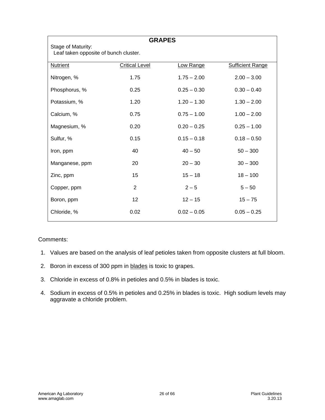| <b>GRAPES</b>                                               |                       |               |                         |
|-------------------------------------------------------------|-----------------------|---------------|-------------------------|
| Stage of Maturity:<br>Leaf taken opposite of bunch cluster. |                       |               |                         |
| <b>Nutrient</b>                                             | <b>Critical Level</b> | Low Range     | <b>Sufficient Range</b> |
| Nitrogen, %                                                 | 1.75                  | $1.75 - 2.00$ | $2.00 - 3.00$           |
| Phosphorus, %                                               | 0.25                  | $0.25 - 0.30$ | $0.30 - 0.40$           |
| Potassium, %                                                | 1.20                  | $1.20 - 1.30$ | $1.30 - 2.00$           |
| Calcium, %                                                  | 0.75                  | $0.75 - 1.00$ | $1.00 - 2.00$           |
| Magnesium, %                                                | 0.20                  | $0.20 - 0.25$ | $0.25 - 1.00$           |
| Sulfur, %                                                   | 0.15                  | $0.15 - 0.18$ | $0.18 - 0.50$           |
| Iron, ppm                                                   | 40                    | $40 - 50$     | $50 - 300$              |
| Manganese, ppm                                              | 20                    | $20 - 30$     | $30 - 300$              |
| Zinc, ppm                                                   | 15                    | $15 - 18$     | $18 - 100$              |
| Copper, ppm                                                 | 2                     | $2 - 5$       | $5 - 50$                |
| Boron, ppm                                                  | 12                    | $12 - 15$     | $15 - 75$               |
| Chloride, %                                                 | 0.02                  | $0.02 - 0.05$ | $0.05 - 0.25$           |

#### Comments:

- 1. Values are based on the analysis of leaf petioles taken from opposite clusters at full bloom.
- 2. Boron in excess of 300 ppm in blades is toxic to grapes.
- 3. Chloride in excess of 0.8% in petioles and 0.5% in blades is toxic.
- 4. Sodium in excess of 0.5% in petioles and 0.25% in blades is toxic. High sodium levels may aggravate a chloride problem.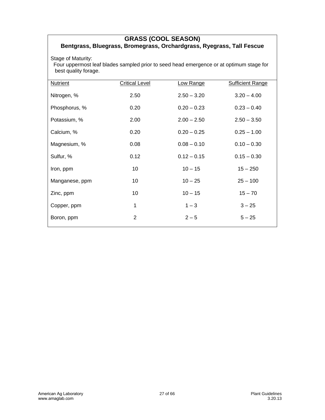#### **GRASS (COOL SEASON) Bentgrass, Bluegrass, Bromegrass, Orchardgrass, Ryegrass, Tall Fescue**

Stage of Maturity:

 Four uppermost leaf blades sampled prior to seed head emergence or at optimum stage for best quality forage.

| <b>Critical Level</b> | Low Range     | <b>Sufficient Range</b> |
|-----------------------|---------------|-------------------------|
| 2.50                  | $2.50 - 3.20$ | $3.20 - 4.00$           |
| 0.20                  | $0.20 - 0.23$ | $0.23 - 0.40$           |
| 2.00                  | $2.00 - 2.50$ | $2.50 - 3.50$           |
| 0.20                  | $0.20 - 0.25$ | $0.25 - 1.00$           |
| 0.08                  | $0.08 - 0.10$ | $0.10 - 0.30$           |
| 0.12                  | $0.12 - 0.15$ | $0.15 - 0.30$           |
| 10                    | $10 - 15$     | $15 - 250$              |
| 10                    | $10 - 25$     | $25 - 100$              |
| 10                    | $10 - 15$     | $15 - 70$               |
| 1                     | $1 - 3$       | $3 - 25$                |
| 2                     | $2 - 5$       | $5 - 25$                |
|                       |               |                         |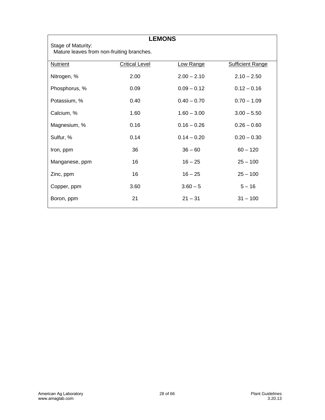| <b>LEMONS</b>                                                   |                       |               |                         |  |
|-----------------------------------------------------------------|-----------------------|---------------|-------------------------|--|
| Stage of Maturity:<br>Mature leaves from non-fruiting branches. |                       |               |                         |  |
| <b>Nutrient</b>                                                 | <b>Critical Level</b> | Low Range     | <b>Sufficient Range</b> |  |
| Nitrogen, %                                                     | 2.00                  | $2.00 - 2.10$ | $2.10 - 2.50$           |  |
| Phosphorus, %                                                   | 0.09                  | $0.09 - 0.12$ | $0.12 - 0.16$           |  |
| Potassium, %                                                    | 0.40                  | $0.40 - 0.70$ | $0.70 - 1.09$           |  |
| Calcium, %                                                      | 1.60                  | $1.60 - 3.00$ | $3.00 - 5.50$           |  |
| Magnesium, %                                                    | 0.16                  | $0.16 - 0.26$ | $0.26 - 0.60$           |  |
| Sulfur, %                                                       | 0.14                  | $0.14 - 0.20$ | $0.20 - 0.30$           |  |
| Iron, ppm                                                       | 36                    | $36 - 60$     | $60 - 120$              |  |
| Manganese, ppm                                                  | 16                    | $16 - 25$     | $25 - 100$              |  |
| Zinc, ppm                                                       | 16                    | $16 - 25$     | $25 - 100$              |  |
| Copper, ppm                                                     | 3.60                  | $3.60 - 5$    | $5 - 16$                |  |
| Boron, ppm                                                      | 21                    | $21 - 31$     | $31 - 100$              |  |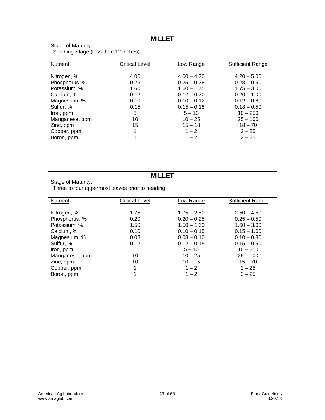| <b>MILLET</b>                        |                       |               |                         |
|--------------------------------------|-----------------------|---------------|-------------------------|
| Stage of Maturity:                   |                       |               |                         |
| Seedling Stage (less than 12 inches) |                       |               |                         |
|                                      |                       |               |                         |
| Nutrient                             | <b>Critical Level</b> | Low Range     | <b>Sufficient Range</b> |
|                                      |                       |               |                         |
| Nitrogen, %                          | 4.00                  | $4.00 - 4.20$ | $4.20 - 5.00$           |
| Phosphorus, %                        | 0.25                  | $0.25 - 0.28$ | $0.28 - 0.50$           |
| Potassium, %                         | 1.60                  | $1.60 - 1.75$ | $1.75 - 3.00$           |
| Calcium, %                           | 0.12                  | $0.12 - 0.20$ | $0.20 - 1.00$           |
| Magnesium, %                         | 0.10                  | $0.10 - 0.12$ | $0.12 - 0.80$           |
| Sulfur, %                            | 0.15                  | $0.15 - 0.18$ | $0.18 - 0.50$           |
| Iron, ppm                            | 5                     | $5 - 10$      | $10 - 250$              |
| Manganese, ppm                       | 10                    | $10 - 25$     | $25 - 100$              |
| Zinc, ppm                            | 15                    | $15 - 18$     | $18 - 70$               |
| Copper, ppm                          | 1                     | $1 - 2$       | $2 - 25$                |
| Boron, ppm                           | 1                     | $1 - 2$       | $2 - 25$                |
|                                      |                       |               |                         |

|                    | MII I FT                                         |               |                         |  |  |
|--------------------|--------------------------------------------------|---------------|-------------------------|--|--|
| Stage of Maturity: |                                                  |               |                         |  |  |
|                    | Three to four uppermost leaves prior to heading. |               |                         |  |  |
|                    |                                                  |               |                         |  |  |
| Nutrient           | Critical Level                                   | Low Range     | <b>Sufficient Range</b> |  |  |
|                    |                                                  |               |                         |  |  |
| Nitrogen, %        | 1.75                                             | $1.75 - 2.50$ | $2.50 - 4.50$           |  |  |
| Phosphorus, %      | 0.20                                             | $0.20 - 0.25$ | $0.25 - 0.50$           |  |  |
| Potassium, %       | 1.50                                             | $1.50 - 1.60$ | $1.60 - 3.00$           |  |  |
| Calcium, %         | 0.10                                             | $0.10 - 0.15$ | $0.15 - 1.00$           |  |  |
| Magnesium, %       | 0.08                                             | $0.08 - 0.10$ | $0.10 - 0.80$           |  |  |
| Sulfur, %          | 0.12                                             | $0.12 - 0.15$ | $0.15 - 0.50$           |  |  |
| Iron, ppm          | 5                                                | $5 - 10$      | $10 - 250$              |  |  |
| Manganese, ppm     | 10                                               | $10 - 25$     | $25 - 100$              |  |  |
| Zinc, ppm          | 10                                               | $10 - 15$     | $15 - 70$               |  |  |
| Copper, ppm        | 1                                                | $1 - 2$       | $2 - 25$                |  |  |
| Boron, ppm         | 1                                                | $1 - 2$       | $2 - 25$                |  |  |
|                    |                                                  |               |                         |  |  |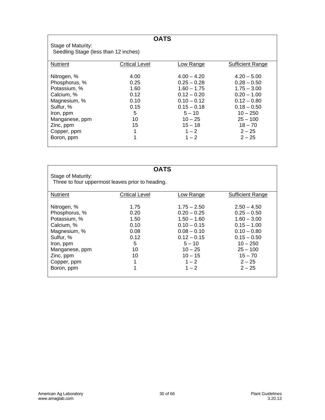| <b>OATS</b>                          |                       |               |                         |  |
|--------------------------------------|-----------------------|---------------|-------------------------|--|
| Stage of Maturity:                   |                       |               |                         |  |
| Seedling Stage (less than 12 inches) |                       |               |                         |  |
|                                      |                       |               |                         |  |
| <b>Nutrient</b>                      | <b>Critical Level</b> | Low Range     | <b>Sufficient Range</b> |  |
| Nitrogen, %                          | 4.00                  | $4.00 - 4.20$ | $4.20 - 5.00$           |  |
| Phosphorus, %                        | 0.25                  | $0.25 - 0.28$ | $0.28 - 0.50$           |  |
| Potassium, %                         | 1.60                  | $1.60 - 1.75$ | $1.75 - 3.00$           |  |
| Calcium, %                           | 0.12                  | $0.12 - 0.20$ | $0.20 - 1.00$           |  |
| Magnesium, %                         | 0.10                  | $0.10 - 0.12$ | $0.12 - 0.80$           |  |
| Sulfur, %                            | 0.15                  | $0.15 - 0.18$ | $0.18 - 0.50$           |  |
| Iron, ppm                            | 5                     | $5 - 10$      | $10 - 250$              |  |
| Manganese, ppm                       | 10                    | $10 - 25$     | $25 - 100$              |  |
| Zinc, ppm                            | 15                    | $15 - 18$     | $18 - 70$               |  |
| Copper, ppm                          | 1                     | $1 - 2$       | $2 - 25$                |  |
| Boron, ppm                           | 1                     | $1 - 2$       | $2 - 25$                |  |
|                                      |                       |               |                         |  |

|                    | <b>OATS</b>                                      |               |                         |
|--------------------|--------------------------------------------------|---------------|-------------------------|
| Stage of Maturity: |                                                  |               |                         |
|                    | Three to four uppermost leaves prior to heading. |               |                         |
|                    |                                                  |               |                         |
| <b>Nutrient</b>    | <b>Critical Level</b>                            | Low Range     | <b>Sufficient Range</b> |
|                    |                                                  |               |                         |
| Nitrogen, %        | 1.75                                             | $1.75 - 2.50$ | $2.50 - 4.50$           |
| Phosphorus, %      | 0.20                                             | $0.20 - 0.25$ | $0.25 - 0.50$           |
| Potassium, %       | 1.50                                             | $1.50 - 1.60$ | $1.60 - 3.00$           |
| Calcium, %         | 0.10                                             | $0.10 - 0.15$ | $0.15 - 1.00$           |
| Magnesium, %       | 0.08                                             | $0.08 - 0.10$ | $0.10 - 0.80$           |
| Sulfur, %          | 0.12                                             | $0.12 - 0.15$ | $0.15 - 0.50$           |
| Iron, ppm          | 5                                                | $5 - 10$      | $10 - 250$              |
| Manganese, ppm     | 10                                               | $10 - 25$     | $25 - 100$              |
| Zinc, ppm          | 10                                               | $10 - 15$     | $15 - 70$               |
| Copper, ppm        | 1                                                | $1 - 2$       | $2 - 25$                |
| Boron, ppm         | 1                                                | $1 - 2$       | $2 - 25$                |
|                    |                                                  |               |                         |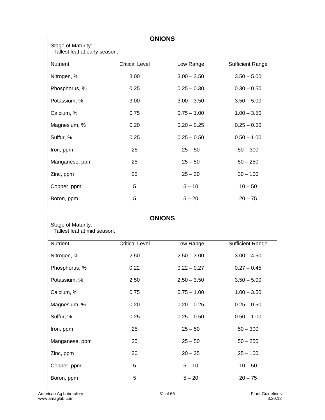| <b>ONIONS</b>                                       |                       |               |                         |
|-----------------------------------------------------|-----------------------|---------------|-------------------------|
| Stage of Maturity:<br>Tallest leaf at early season. |                       |               |                         |
| <b>Nutrient</b>                                     | <b>Critical Level</b> | Low Range     | <b>Sufficient Range</b> |
| Nitrogen, %                                         | 3.00                  | $3.00 - 3.50$ | $3.50 - 5.00$           |
| Phosphorus, %                                       | 0.25                  | $0.25 - 0.30$ | $0.30 - 0.50$           |
| Potassium, %                                        | 3.00                  | $3.00 - 3.50$ | $3.50 - 5.00$           |
| Calcium, %                                          | 0.75                  | $0.75 - 1.00$ | $1.00 - 3.50$           |
| Magnesium, %                                        | 0.20                  | $0.20 - 0.25$ | $0.25 - 0.50$           |
| Sulfur, %                                           | 0.25                  | $0.25 - 0.50$ | $0.50 - 1.00$           |
| Iron, ppm                                           | 25                    | $25 - 50$     | $50 - 300$              |
| Manganese, ppm                                      | 25                    | $25 - 50$     | $50 - 250$              |
| Zinc, ppm                                           | 25                    | $25 - 30$     | $30 - 100$              |
| Copper, ppm                                         | 5                     | $5 - 10$      | $10 - 50$               |
| Boron, ppm                                          | 5                     | $5 - 20$      | $20 - 75$               |

| <b>ONIONS</b>                                     |                       |               |                         |  |
|---------------------------------------------------|-----------------------|---------------|-------------------------|--|
| Stage of Maturity:<br>Tallest leaf at mid season. |                       |               |                         |  |
|                                                   |                       |               |                         |  |
| <b>Nutrient</b>                                   | <b>Critical Level</b> | Low Range     | <b>Sufficient Range</b> |  |
| Nitrogen, %                                       | 2.50                  | $2.50 - 3.00$ | $3.00 - 4.50$           |  |
| Phosphorus, %                                     | 0.22                  | $0.22 - 0.27$ | $0.27 - 0.45$           |  |
| Potassium, %                                      | 2.50                  | $2.50 - 3.50$ | $3.50 - 5.00$           |  |
| Calcium, %                                        | 0.75                  | $0.75 - 1.00$ | $1.00 - 3.50$           |  |
| Magnesium, %                                      | 0.20                  | $0.20 - 0.25$ | $0.25 - 0.50$           |  |
| Sulfur, %                                         | 0.25                  | $0.25 - 0.50$ | $0.50 - 1.00$           |  |
| Iron, ppm                                         | 25                    | $25 - 50$     | $50 - 300$              |  |
| Manganese, ppm                                    | 25                    | $25 - 50$     | $50 - 250$              |  |
| Zinc, ppm                                         | 20                    | $20 - 25$     | $25 - 100$              |  |
| Copper, ppm                                       | 5                     | $5 - 10$      | $10 - 50$               |  |
| Boron, ppm                                        | 5                     | $5 - 20$      | $20 - 75$               |  |
|                                                   |                       |               |                         |  |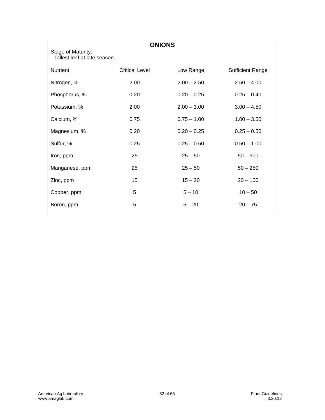| <b>ONIONS</b>                                      |                       |               |                         |  |
|----------------------------------------------------|-----------------------|---------------|-------------------------|--|
| Stage of Maturity:<br>Tallest leaf at late season. |                       |               |                         |  |
| <b>Nutrient</b>                                    | <b>Critical Level</b> | Low Range     | <b>Sufficient Range</b> |  |
| Nitrogen, %                                        | 2.00                  | $2.00 - 2.50$ | $2.50 - 4.00$           |  |
| Phosphorus, %                                      | 0.20                  | $0.20 - 0.25$ | $0.25 - 0.40$           |  |
| Potassium, %                                       | 2.00                  | $2.00 - 3.00$ | $3.00 - 4.50$           |  |
| Calcium, %                                         | 0.75                  | $0.75 - 1.00$ | $1.00 - 3.50$           |  |
| Magnesium, %                                       | 0.20                  | $0.20 - 0.25$ | $0.25 - 0.50$           |  |
| Sulfur, %                                          | 0.25                  | $0.25 - 0.50$ | $0.50 - 1.00$           |  |
| Iron, ppm                                          | 25                    | $25 - 50$     | $50 - 300$              |  |
| Manganese, ppm                                     | 25                    | $25 - 50$     | $50 - 250$              |  |
| Zinc, ppm                                          | 15                    | $15 - 20$     | $20 - 100$              |  |
| Copper, ppm                                        | 5                     | $5 - 10$      | $10 - 50$               |  |
| Boron, ppm                                         | 5                     | $5 - 20$      | $20 - 75$               |  |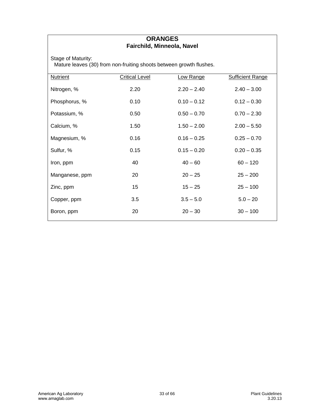#### **ORANGES Fairchild, Minneola, Navel**

Stage of Maturity:

Mature leaves (30) from non-fruiting shoots between growth flushes.

| Nutrient       | <b>Critical Level</b> | Low Range     | <b>Sufficient Range</b> |
|----------------|-----------------------|---------------|-------------------------|
| Nitrogen, %    | 2.20                  | $2.20 - 2.40$ | $2.40 - 3.00$           |
| Phosphorus, %  | 0.10                  | $0.10 - 0.12$ | $0.12 - 0.30$           |
| Potassium, %   | 0.50                  | $0.50 - 0.70$ | $0.70 - 2.30$           |
| Calcium, %     | 1.50                  | $1.50 - 2.00$ | $2.00 - 5.50$           |
| Magnesium, %   | 0.16                  | $0.16 - 0.25$ | $0.25 - 0.70$           |
| Sulfur, %      | 0.15                  | $0.15 - 0.20$ | $0.20 - 0.35$           |
| Iron, ppm      | 40                    | $40 - 60$     | $60 - 120$              |
| Manganese, ppm | 20                    | $20 - 25$     | $25 - 200$              |
| Zinc, ppm      | 15                    | $15 - 25$     | $25 - 100$              |
| Copper, ppm    | 3.5                   | $3.5 - 5.0$   | $5.0 - 20$              |
| Boron, ppm     | 20                    | $20 - 30$     | $30 - 100$              |
|                |                       |               |                         |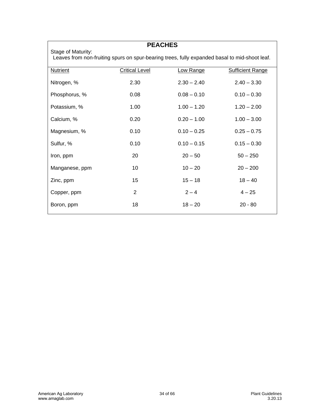|                 | <b>PEACHES</b>                                                                                                      |               |                         |  |  |
|-----------------|---------------------------------------------------------------------------------------------------------------------|---------------|-------------------------|--|--|
|                 | Stage of Maturity:<br>Leaves from non-fruiting spurs on spur-bearing trees, fully expanded basal to mid-shoot leaf. |               |                         |  |  |
| <b>Nutrient</b> | <b>Critical Level</b>                                                                                               | Low Range     | <b>Sufficient Range</b> |  |  |
| Nitrogen, %     | 2.30                                                                                                                | $2.30 - 2.40$ | $2.40 - 3.30$           |  |  |
| Phosphorus, %   | 0.08                                                                                                                | $0.08 - 0.10$ | $0.10 - 0.30$           |  |  |
| Potassium, %    | 1.00                                                                                                                | $1.00 - 1.20$ | $1.20 - 2.00$           |  |  |
| Calcium, %      | 0.20                                                                                                                | $0.20 - 1.00$ | $1.00 - 3.00$           |  |  |
| Magnesium, %    | 0.10                                                                                                                | $0.10 - 0.25$ | $0.25 - 0.75$           |  |  |
| Sulfur, %       | 0.10                                                                                                                | $0.10 - 0.15$ | $0.15 - 0.30$           |  |  |
| Iron, ppm       | 20                                                                                                                  | $20 - 50$     | $50 - 250$              |  |  |
| Manganese, ppm  | 10                                                                                                                  | $10 - 20$     | $20 - 200$              |  |  |
| Zinc, ppm       | 15                                                                                                                  | $15 - 18$     | $18 - 40$               |  |  |
| Copper, ppm     | 2                                                                                                                   | $2 - 4$       | $4 - 25$                |  |  |
| Boron, ppm      | 18                                                                                                                  | $18 - 20$     | $20 - 80$               |  |  |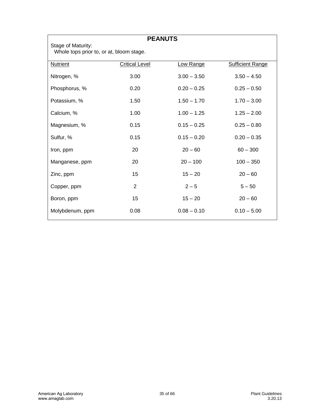| <b>PEANUTS</b><br>Stage of Maturity: |                                          |               |                         |  |  |
|--------------------------------------|------------------------------------------|---------------|-------------------------|--|--|
|                                      | Whole tops prior to, or at, bloom stage. |               |                         |  |  |
| <b>Nutrient</b>                      | <b>Critical Level</b>                    | Low Range     | <b>Sufficient Range</b> |  |  |
| Nitrogen, %                          | 3.00                                     | $3.00 - 3.50$ | $3.50 - 4.50$           |  |  |
| Phosphorus, %                        | 0.20                                     | $0.20 - 0.25$ | $0.25 - 0.50$           |  |  |
| Potassium, %                         | 1.50                                     | $1.50 - 1.70$ | $1.70 - 3.00$           |  |  |
| Calcium, %                           | 1.00                                     | $1.00 - 1.25$ | $1.25 - 2.00$           |  |  |
| Magnesium, %                         | 0.15                                     | $0.15 - 0.25$ | $0.25 - 0.80$           |  |  |
| Sulfur, %                            | 0.15                                     | $0.15 - 0.20$ | $0.20 - 0.35$           |  |  |
| Iron, ppm                            | 20                                       | $20 - 60$     | $60 - 300$              |  |  |
| Manganese, ppm                       | 20                                       | $20 - 100$    | $100 - 350$             |  |  |
| Zinc, ppm                            | 15                                       | $15 - 20$     | $20 - 60$               |  |  |
| Copper, ppm                          | 2                                        | $2 - 5$       | $5 - 50$                |  |  |
| Boron, ppm                           | 15                                       | $15 - 20$     | $20 - 60$               |  |  |
| Molybdenum, ppm                      | 0.08                                     | $0.08 - 0.10$ | $0.10 - 5.00$           |  |  |
|                                      |                                          |               |                         |  |  |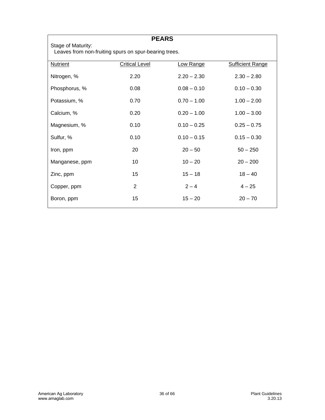| <b>PEARS</b>    |                                                                             |               |                         |  |  |
|-----------------|-----------------------------------------------------------------------------|---------------|-------------------------|--|--|
|                 | Stage of Maturity:<br>Leaves from non-fruiting spurs on spur-bearing trees. |               |                         |  |  |
| <b>Nutrient</b> | <b>Critical Level</b>                                                       | Low Range     | <b>Sufficient Range</b> |  |  |
| Nitrogen, %     | 2.20                                                                        | $2.20 - 2.30$ | $2.30 - 2.80$           |  |  |
| Phosphorus, %   | 0.08                                                                        | $0.08 - 0.10$ | $0.10 - 0.30$           |  |  |
| Potassium, %    | 0.70                                                                        | $0.70 - 1.00$ | $1.00 - 2.00$           |  |  |
| Calcium, %      | 0.20                                                                        | $0.20 - 1.00$ | $1.00 - 3.00$           |  |  |
| Magnesium, %    | 0.10                                                                        | $0.10 - 0.25$ | $0.25 - 0.75$           |  |  |
| Sulfur, %       | 0.10                                                                        | $0.10 - 0.15$ | $0.15 - 0.30$           |  |  |
| Iron, ppm       | 20                                                                          | $20 - 50$     | $50 - 250$              |  |  |
| Manganese, ppm  | 10                                                                          | $10 - 20$     | $20 - 200$              |  |  |
| Zinc, ppm       | 15                                                                          | $15 - 18$     | $18 - 40$               |  |  |
| Copper, ppm     | $\overline{2}$                                                              | $2 - 4$       | $4 - 25$                |  |  |
| Boron, ppm      | 15                                                                          | $15 - 20$     | $20 - 70$               |  |  |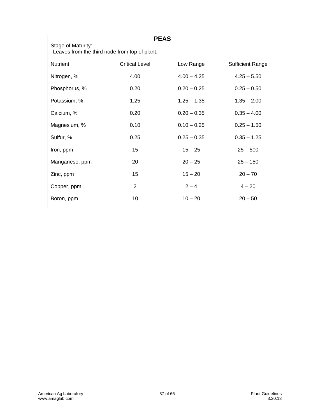|                                                                     |                       | <b>PEAS</b>   |                         |
|---------------------------------------------------------------------|-----------------------|---------------|-------------------------|
| Stage of Maturity:<br>Leaves from the third node from top of plant. |                       |               |                         |
| <b>Nutrient</b>                                                     | <b>Critical Level</b> | Low Range     | <b>Sufficient Range</b> |
| Nitrogen, %                                                         | 4.00                  | $4.00 - 4.25$ | $4.25 - 5.50$           |
| Phosphorus, %                                                       | 0.20                  | $0.20 - 0.25$ | $0.25 - 0.50$           |
| Potassium, %                                                        | 1.25                  | $1.25 - 1.35$ | $1.35 - 2.00$           |
| Calcium, %                                                          | 0.20                  | $0.20 - 0.35$ | $0.35 - 4.00$           |
| Magnesium, %                                                        | 0.10                  | $0.10 - 0.25$ | $0.25 - 1.50$           |
| Sulfur, %                                                           | 0.25                  | $0.25 - 0.35$ | $0.35 - 1.25$           |
| Iron, ppm                                                           | 15                    | $15 - 25$     | $25 - 500$              |
| Manganese, ppm                                                      | 20                    | $20 - 25$     | $25 - 150$              |
| Zinc, ppm                                                           | 15                    | $15 - 20$     | $20 - 70$               |
| Copper, ppm                                                         | 2                     | $2 - 4$       | $4 - 20$                |
| Boron, ppm                                                          | 10                    | $10 - 20$     | $20 - 50$               |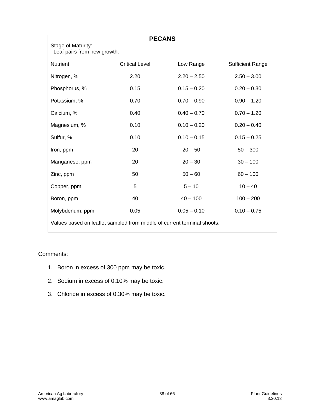| <b>PECANS</b>                                                           |                       |               |                         |
|-------------------------------------------------------------------------|-----------------------|---------------|-------------------------|
| Stage of Maturity:<br>Leaf pairs from new growth.                       |                       |               |                         |
| <b>Nutrient</b>                                                         | <b>Critical Level</b> | Low Range     | <b>Sufficient Range</b> |
| Nitrogen, %                                                             | 2.20                  | $2.20 - 2.50$ | $2.50 - 3.00$           |
| Phosphorus, %                                                           | 0.15                  | $0.15 - 0.20$ | $0.20 - 0.30$           |
| Potassium, %                                                            | 0.70                  | $0.70 - 0.90$ | $0.90 - 1.20$           |
| Calcium, %                                                              | 0.40                  | $0.40 - 0.70$ | $0.70 - 1.20$           |
| Magnesium, %                                                            | 0.10                  | $0.10 - 0.20$ | $0.20 - 0.40$           |
| Sulfur, %                                                               | 0.10                  | $0.10 - 0.15$ | $0.15 - 0.25$           |
| Iron, ppm                                                               | 20                    | $20 - 50$     | $50 - 300$              |
| Manganese, ppm                                                          | 20                    | $20 - 30$     | $30 - 100$              |
| Zinc, ppm                                                               | 50                    | $50 - 60$     | $60 - 100$              |
| Copper, ppm                                                             | 5                     | $5 - 10$      | $10 - 40$               |
| Boron, ppm                                                              | 40                    | $40 - 100$    | $100 - 200$             |
| Molybdenum, ppm                                                         | 0.05                  | $0.05 - 0.10$ | $0.10 - 0.75$           |
| Values based on leaflet sampled from middle of current terminal shoots. |                       |               |                         |

#### Comments:

- 1. Boron in excess of 300 ppm may be toxic.
- 2. Sodium in excess of 0.10% may be toxic.
- 3. Chloride in excess of 0.30% may be toxic.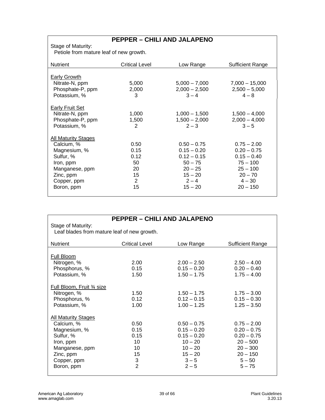# **PEPPER – CHILI AND JALAPENO**

Stage of Maturity:

Petiole from mature leaf of new growth.

| <b>Nutrient</b>            | <b>Critical Level</b> | Low Range       | <b>Sufficient Range</b> |
|----------------------------|-----------------------|-----------------|-------------------------|
|                            |                       |                 |                         |
| Early Growth               |                       |                 |                         |
| Nitrate-N, ppm             | 5,000                 | $5,000 - 7,000$ | $7,000 - 15,000$        |
| Phosphate-P, ppm           | 2,000                 | $2,000 - 2,500$ | $2,500 - 5,000$         |
| Potassium, %               | 3                     | $3 - 4$         | $4 - 8$                 |
| <b>Early Fruit Set</b>     |                       |                 |                         |
| Nitrate-N, ppm             | 1,000                 | $1,000 - 1,500$ | $1,500 - 4,000$         |
| Phosphate-P, ppm           | 1,500                 | $1,500 - 2,000$ | $2,000 - 4,000$         |
|                            | $\overline{2}$        |                 | $3 - 5$                 |
| Potassium, %               |                       | $2 - 3$         |                         |
| <b>All Maturity Stages</b> |                       |                 |                         |
| Calcium, %                 | 0.50                  | $0.50 - 0.75$   | $0.75 - 2.00$           |
| Magnesium, %               | 0.15                  | $0.15 - 0.20$   | $0.20 - 0.75$           |
| Sulfur, %                  | 0.12                  | $0.12 - 0.15$   | $0.15 - 0.40$           |
| Iron, ppm                  | 50                    | $50 - 75$       | $75 - 100$              |
| Manganese, ppm             | 20                    | $20 - 25$       | $25 - 100$              |
| Zinc, ppm                  | 15                    | $15 - 20$       | $20 - 70$               |
|                            | 2                     | $2 - 4$         | $4 - 30$                |
| Copper, ppm                |                       |                 |                         |
| Boron, ppm                 | 15                    | $15 - 20$       | $20 - 150$              |
|                            |                       |                 |                         |

| PEPPER – CHILI AND JALAPENO                 |                       |               |                  |
|---------------------------------------------|-----------------------|---------------|------------------|
| Stage of Maturity:                          |                       |               |                  |
| Leaf blades from mature leaf of new growth. |                       |               |                  |
|                                             |                       |               |                  |
| <b>Nutrient</b>                             | <b>Critical Level</b> | Low Range     | Sufficient Range |
|                                             |                       |               |                  |
| <b>Full Bloom</b>                           |                       |               |                  |
| Nitrogen, %                                 | 2.00                  | $2.00 - 2.50$ | $2.50 - 4.00$    |
| Phosphorus, %                               | 0.15                  | $0.15 - 0.20$ | $0.20 - 0.40$    |
| Potassium, %                                | 1.50                  | $1.50 - 1.75$ | $1.75 - 4.00$    |
|                                             |                       |               |                  |
| Full Bloom, Fruit 3/4 size                  |                       |               |                  |
| Nitrogen, %                                 | 1.50                  | $1.50 - 1.75$ | $1.75 - 3.00$    |
| Phosphorus, %                               | 0.12                  | $0.12 - 0.15$ | $0.15 - 0.30$    |
| Potassium, %                                | 1.00                  | $1.00 - 1.25$ | $1.25 - 3.50$    |
|                                             |                       |               |                  |
| <b>All Maturity Stages</b>                  |                       |               |                  |
| Calcium, %                                  | 0.50                  | $0.50 - 0.75$ | $0.75 - 2.00$    |
| Magnesium, %                                | 0.15                  | $0.15 - 0.20$ | $0.20 - 0.75$    |
| Sulfur, %                                   | 0.15                  | $0.15 - 0.20$ | $0.20 - 0.75$    |
| Iron, ppm                                   | 10                    | $10 - 20$     | $20 - 500$       |
| Manganese, ppm                              | 10                    | $10 - 20$     | $20 - 300$       |
| Zinc, ppm                                   | 15                    | $15 - 20$     | $20 - 150$       |
| Copper, ppm                                 | 3                     | $3 - 5$       | $5 - 50$         |
| Boron, ppm                                  | $\overline{2}$        | $2 - 5$       | $5 - 75$         |
|                                             |                       |               |                  |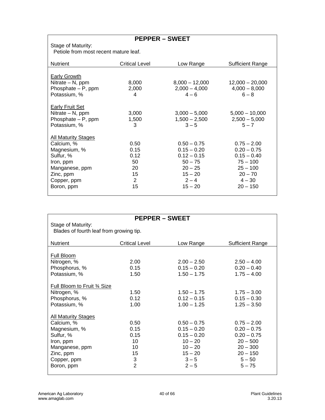Stage of Maturity: Petiole from most recent mature leaf.

| <b>Nutrient</b>                       | Critical Level | Low Range                  | <b>Sufficient Range</b>    |
|---------------------------------------|----------------|----------------------------|----------------------------|
|                                       |                |                            |                            |
| Early Growth<br>Nitrate $- N$ , ppm   | 8,000          | $8,000 - 12,000$           | $12,000 - 20,000$          |
| Phosphate $- P$ , ppm<br>Potassium, % | 2,000<br>4     | $2,000 - 4,000$<br>$4 - 6$ | $4,000 - 8,000$<br>$6 - 8$ |
| <b>Early Fruit Set</b>                |                |                            |                            |
| Nitrate - N, ppm                      | 3,000          | $3,000 - 5,000$            | $5,000 - 10,000$           |
| Phosphate $- P$ , ppm                 | 1,500          | $1,500 - 2,500$            | $2,500 - 5,000$            |
| Potassium, %                          | 3              | $3 - 5$                    | $5 - 7$                    |
| <b>All Maturity Stages</b>            |                |                            |                            |
| Calcium, %                            | 0.50           | $0.50 - 0.75$              | $0.75 - 2.00$              |
| Magnesium, %                          | 0.15           | $0.15 - 0.20$              | $0.20 - 0.75$              |
| Sulfur, %                             | 0.12           | $0.12 - 0.15$              | $0.15 - 0.40$              |
| Iron, ppm                             | 50             | $50 - 75$                  | $75 - 100$                 |
| Manganese, ppm                        | 20             | $20 - 25$                  | $25 - 100$                 |
| Zinc, ppm                             | 15             | $15 - 20$                  | $20 - 70$                  |
| Copper, ppm                           | $\overline{2}$ | $2 - 4$                    | $4 - 30$                   |
| Boron, ppm                            | 15             | $15 - 20$                  | $20 - 150$                 |
|                                       |                |                            |                            |

| <b>PEPPER – SWEET</b>                   |                           |               |                         |  |  |
|-----------------------------------------|---------------------------|---------------|-------------------------|--|--|
| Stage of Maturity:                      |                           |               |                         |  |  |
| Blades of fourth leaf from growing tip. |                           |               |                         |  |  |
|                                         |                           |               |                         |  |  |
| <b>Nutrient</b>                         | <b>Critical Level</b>     | Low Range     | <b>Sufficient Range</b> |  |  |
| Full Bloom                              |                           |               |                         |  |  |
| Nitrogen, %                             | 2.00                      | $2.00 - 2.50$ | $2.50 - 4.00$           |  |  |
| Phosphorus, %                           | 0.15                      | $0.15 - 0.20$ | $0.20 - 0.40$           |  |  |
| Potassium, %                            | 1.50                      | $1.50 - 1.75$ | $1.75 - 4.00$           |  |  |
|                                         |                           |               |                         |  |  |
| Full Bloom to Fruit 3/4 Size            |                           |               |                         |  |  |
| Nitrogen, %                             | 1.50                      | $1.50 - 1.75$ | $1.75 - 3.00$           |  |  |
| Phosphorus, %                           | 0.12                      | $0.12 - 0.15$ | $0.15 - 0.30$           |  |  |
| Potassium, %                            | 1.00                      | $1.00 - 1.25$ | $1.25 - 3.50$           |  |  |
|                                         |                           |               |                         |  |  |
| <b>All Maturity Stages</b>              |                           |               |                         |  |  |
| Calcium, %                              | 0.50                      | $0.50 - 0.75$ | $0.75 - 2.00$           |  |  |
| Magnesium, %                            | 0.15                      | $0.15 - 0.20$ | $0.20 - 0.75$           |  |  |
| Sulfur, %                               | 0.15                      | $0.15 - 0.20$ | $0.20 - 0.75$           |  |  |
| Iron, ppm                               | 10                        | $10 - 20$     | $20 - 500$              |  |  |
| Manganese, ppm                          | 10                        | $10 - 20$     | $20 - 300$              |  |  |
| Zinc, ppm                               | 15                        | $15 - 20$     | $20 - 150$              |  |  |
| Copper, ppm                             | $\ensuremath{\mathsf{3}}$ | $3 - 5$       | $5 - 50$                |  |  |
| Boron, ppm                              | $\overline{2}$            | $2 - 5$       | $5 - 75$                |  |  |
|                                         |                           |               |                         |  |  |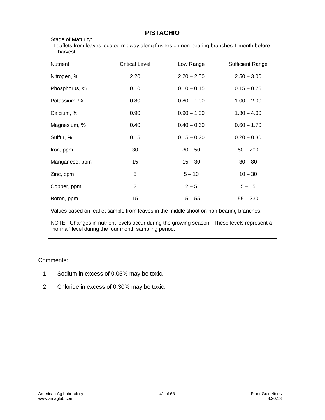|                                                                                                                            |                       | <b>PISTACHIO</b> |                         |  |
|----------------------------------------------------------------------------------------------------------------------------|-----------------------|------------------|-------------------------|--|
| Stage of Maturity:<br>Leaflets from leaves located midway along flushes on non-bearing branches 1 month before<br>harvest. |                       |                  |                         |  |
| <b>Nutrient</b>                                                                                                            | <b>Critical Level</b> | Low Range        | <b>Sufficient Range</b> |  |
| Nitrogen, %                                                                                                                | 2.20                  | $2.20 - 2.50$    | $2.50 - 3.00$           |  |
| Phosphorus, %                                                                                                              | 0.10                  | $0.10 - 0.15$    | $0.15 - 0.25$           |  |
| Potassium, %                                                                                                               | 0.80                  | $0.80 - 1.00$    | $1.00 - 2.00$           |  |
| Calcium, %                                                                                                                 | 0.90                  | $0.90 - 1.30$    | $1.30 - 4.00$           |  |
| Magnesium, %                                                                                                               | 0.40                  | $0.40 - 0.60$    | $0.60 - 1.70$           |  |
| Sulfur, %                                                                                                                  | 0.15                  | $0.15 - 0.20$    | $0.20 - 0.30$           |  |
| Iron, ppm                                                                                                                  | 30                    | $30 - 50$        | $50 - 200$              |  |
| Manganese, ppm                                                                                                             | 15                    | $15 - 30$        | $30 - 80$               |  |
| Zinc, ppm                                                                                                                  | 5                     | $5 - 10$         | $10 - 30$               |  |
| Copper, ppm                                                                                                                | $\overline{2}$        | $2 - 5$          | $5 - 15$                |  |
| Boron, ppm                                                                                                                 | 15                    | $15 - 55$        | $55 - 230$              |  |
| Values based on leaflet sample from leaves in the middle shoot on non-bearing branches.                                    |                       |                  |                         |  |

NOTE: Changes in nutrient levels occur during the growing season. These levels represent a "normal" level during the four month sampling period.

#### Comments:

- 1. Sodium in excess of 0.05% may be toxic.
- 2. Chloride in excess of 0.30% may be toxic.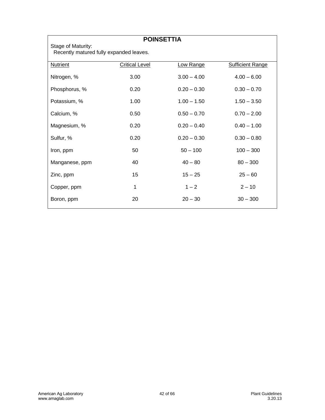| <b>POINSETTIA</b>                                             |                       |               |                         |  |
|---------------------------------------------------------------|-----------------------|---------------|-------------------------|--|
| Stage of Maturity:<br>Recently matured fully expanded leaves. |                       |               |                         |  |
| <b>Nutrient</b>                                               | <b>Critical Level</b> | Low Range     | <b>Sufficient Range</b> |  |
| Nitrogen, %                                                   | 3.00                  | $3.00 - 4.00$ | $4.00 - 6.00$           |  |
| Phosphorus, %                                                 | 0.20                  | $0.20 - 0.30$ | $0.30 - 0.70$           |  |
| Potassium, %                                                  | 1.00                  | $1.00 - 1.50$ | $1.50 - 3.50$           |  |
| Calcium, %                                                    | 0.50                  | $0.50 - 0.70$ | $0.70 - 2.00$           |  |
| Magnesium, %                                                  | 0.20                  | $0.20 - 0.40$ | $0.40 - 1.00$           |  |
| Sulfur, %                                                     | 0.20                  | $0.20 - 0.30$ | $0.30 - 0.80$           |  |
| Iron, ppm                                                     | 50                    | $50 - 100$    | $100 - 300$             |  |
| Manganese, ppm                                                | 40                    | $40 - 80$     | $80 - 300$              |  |
| Zinc, ppm                                                     | 15                    | $15 - 25$     | $25 - 60$               |  |
| Copper, ppm                                                   | 1                     | $1 - 2$       | $2 - 10$                |  |
| Boron, ppm                                                    | 20                    | $20 - 30$     | $30 - 300$              |  |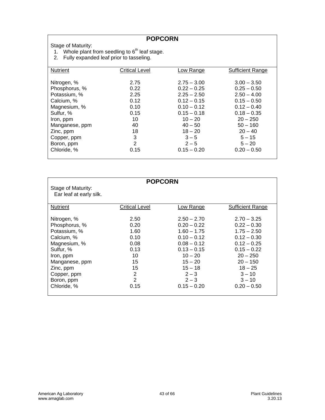#### **POPCORN**

Stage of Maturity:

- 1. Whole plant from seedling to  $6<sup>th</sup>$  leaf stage.
- 2. Fully expanded leaf prior to tasseling.

| <b>Nutrient</b> | <b>Critical Level</b> | <u>Low Range</u> | Sufficient Range |
|-----------------|-----------------------|------------------|------------------|
|                 |                       |                  |                  |
| Nitrogen, %     | 2.75                  | $2.75 - 3.00$    | $3.00 - 3.50$    |
| Phosphorus, %   | 0.22                  | $0.22 - 0.25$    | $0.25 - 0.50$    |
| Potassium, %    | 2.25                  | $2.25 - 2.50$    | $2.50 - 4.00$    |
| Calcium, %      | 0.12                  | $0.12 - 0.15$    | $0.15 - 0.50$    |
| Magnesium, %    | 0.10                  | $0.10 - 0.12$    | $0.12 - 0.40$    |
| Sulfur, %       | 0.15                  | $0.15 - 0.18$    | $0.18 - 0.35$    |
| Iron, ppm       | 10                    | $10 - 20$        | $20 - 250$       |
| Manganese, ppm  | 40                    | $40 - 50$        | $50 - 160$       |
| Zinc, ppm       | 18                    | $18 - 20$        | $20 - 40$        |
| Copper, ppm     | 3                     | $3 - 5$          | $5 - 15$         |
| Boron, ppm      | $\overline{2}$        | $2 - 5$          | $5 - 20$         |
| Chloride, %     | 0.15                  | $0.15 - 0.20$    | $0.20 - 0.50$    |
|                 |                       |                  |                  |

| Stage of Maturity:<br>Ear leaf at early silk.                                                                                                                                   | <b>POPCORN</b>                                                                                |                                                                                                                                                                                  |                                                                                                                                                                                      |
|---------------------------------------------------------------------------------------------------------------------------------------------------------------------------------|-----------------------------------------------------------------------------------------------|----------------------------------------------------------------------------------------------------------------------------------------------------------------------------------|--------------------------------------------------------------------------------------------------------------------------------------------------------------------------------------|
| <b>Nutrient</b>                                                                                                                                                                 | <b>Critical Level</b>                                                                         | Low Range                                                                                                                                                                        | Sufficient Range                                                                                                                                                                     |
| Nitrogen, %<br>Phosphorus, %<br>Potassium, %<br>Calcium, %<br>Magnesium, %<br>Sulfur, %<br>Iron, ppm<br>Manganese, ppm<br>Zinc, ppm<br>Copper, ppm<br>Boron, ppm<br>Chloride, % | 2.50<br>0.20<br>1.60<br>0.10<br>0.08<br>0.13<br>10<br>15<br>15<br>2<br>$\overline{2}$<br>0.15 | $2.50 - 2.70$<br>$0.20 - 0.22$<br>$1.60 - 1.75$<br>$0.10 - 0.12$<br>$0.08 - 0.12$<br>$0.13 - 0.15$<br>$10 - 20$<br>$15 - 20$<br>$15 - 18$<br>$2 - 3$<br>$2 - 3$<br>$0.15 - 0.20$ | $2.70 - 3.25$<br>$0.22 - 0.30$<br>$1.75 - 2.50$<br>$0.12 - 0.30$<br>$0.12 - 0.25$<br>$0.15 - 0.22$<br>$20 - 250$<br>$20 - 150$<br>$18 - 25$<br>$3 - 10$<br>$3 - 10$<br>$0.20 - 0.50$ |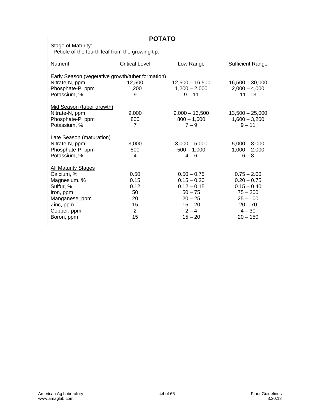| <b>POTATO</b>                                           |                       |                   |                         |  |
|---------------------------------------------------------|-----------------------|-------------------|-------------------------|--|
| Stage of Maturity:                                      |                       |                   |                         |  |
| Petiole of the fourth leaf from the growing tip.        |                       |                   |                         |  |
| <b>Nutrient</b>                                         | <b>Critical Level</b> | Low Range         | <b>Sufficient Range</b> |  |
|                                                         |                       |                   |                         |  |
| <b>Early Season (vegetative growth/tuber formation)</b> |                       |                   |                         |  |
| Nitrate-N, ppm                                          | 12,500                | $12,500 - 16,500$ | $16,500 - 30,000$       |  |
| Phosphate-P, ppm                                        | 1,200                 | $1,200 - 2,000$   | $2,000 - 4,000$         |  |
| Potassium, %                                            | 9                     | $9 - 11$          | $11 - 13$               |  |
| Mid Season (tuber growth)                               |                       |                   |                         |  |
| Nitrate-N, ppm                                          | 9,000                 | $9,000 - 13,500$  | $13,500 - 25,000$       |  |
| Phosphate-P, ppm                                        | 800                   | $800 - 1,600$     | $1,600 - 3,200$         |  |
| Potassium, %                                            | $\overline{7}$        | $7 - 9$           | $9 - 11$                |  |
| <b>Late Season (maturation)</b>                         |                       |                   |                         |  |
| Nitrate-N, ppm                                          | 3,000                 | $3,000 - 5,000$   | $5,000 - 8,000$         |  |
| Phosphate-P, ppm                                        | 500                   | $500 - 1,000$     | $1,000 - 2,000$         |  |
| Potassium, %                                            | 4                     | $4 - 6$           | $6 - 8$                 |  |
|                                                         |                       |                   |                         |  |
| <b>All Maturity Stages</b>                              |                       |                   |                         |  |
| Calcium, %                                              | 0.50                  | $0.50 - 0.75$     | $0.75 - 2.00$           |  |
| Magnesium, %                                            | 0.15                  | $0.15 - 0.20$     | $0.20 - 0.75$           |  |
| Sulfur, %                                               | 0.12                  | $0.12 - 0.15$     | $0.15 - 0.40$           |  |
| Iron, ppm                                               | 50                    | $50 - 75$         | $75 - 200$              |  |
| Manganese, ppm                                          | 20                    | $20 - 25$         | $25 - 100$              |  |
| Zinc, ppm                                               | 15                    | $15 - 20$         | $20 - 70$               |  |
| Copper, ppm                                             | $\overline{2}$        | $2 - 4$           | $4 - 30$                |  |
| Boron, ppm                                              | 15                    | $15 - 20$         | $20 - 150$              |  |
|                                                         |                       |                   |                         |  |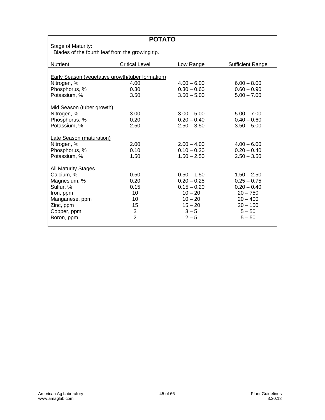| <b>POTATO</b>                                           |                       |               |                         |
|---------------------------------------------------------|-----------------------|---------------|-------------------------|
| Stage of Maturity:                                      |                       |               |                         |
| Blades of the fourth leaf from the growing tip.         |                       |               |                         |
|                                                         |                       |               |                         |
| <b>Nutrient</b>                                         | <b>Critical Level</b> | Low Range     | <b>Sufficient Range</b> |
|                                                         |                       |               |                         |
| <b>Early Season (vegetative growth/tuber formation)</b> |                       |               |                         |
| Nitrogen, %                                             | 4.00                  | $4.00 - 6.00$ | $6.00 - 8.00$           |
| Phosphorus, %                                           | 0.30                  | $0.30 - 0.60$ | $0.60 - 0.90$           |
| Potassium, %                                            | 3.50                  | $3.50 - 5.00$ | $5.00 - 7.00$           |
|                                                         |                       |               |                         |
| Mid Season (tuber growth)                               |                       |               |                         |
| Nitrogen, %                                             | 3.00                  | $3.00 - 5.00$ | $5.00 - 7.00$           |
| Phosphorus, %                                           | 0.20                  | $0.20 - 0.40$ | $0.40 - 0.60$           |
| Potassium, %                                            | 2.50                  | $2.50 - 3.50$ | $3.50 - 5.00$           |
|                                                         |                       |               |                         |
| <b>Late Season (maturation)</b>                         |                       |               |                         |
| Nitrogen, %                                             | 2.00                  | $2.00 - 4.00$ | $4.00 - 6.00$           |
| Phosphorus, %                                           | 0.10                  | $0.10 - 0.20$ | $0.20 - 0.40$           |
| Potassium, %                                            | 1.50                  | $1.50 - 2.50$ | $2.50 - 3.50$           |
|                                                         |                       |               |                         |
| <b>All Maturity Stages</b>                              |                       |               |                         |
| Calcium, %                                              | 0.50                  | $0.50 - 1.50$ | $1.50 - 2.50$           |
| Magnesium, %                                            | 0.20                  | $0.20 - 0.25$ | $0.25 - 0.75$           |
| Sulfur, %                                               | 0.15                  | $0.15 - 0.20$ | $0.20 - 0.40$           |
| Iron, ppm                                               | 10 <sup>1</sup>       | $10 - 20$     | $20 - 750$              |
| Manganese, ppm                                          | 10                    | $10 - 20$     | $20 - 400$              |
| Zinc, ppm                                               | 15                    | $15 - 20$     | $20 - 150$              |
| Copper, ppm                                             | $\frac{3}{2}$         | $3 - 5$       | $5 - 50$                |
| Boron, ppm                                              |                       | $2 - 5$       | $5 - 50$                |
|                                                         |                       |               |                         |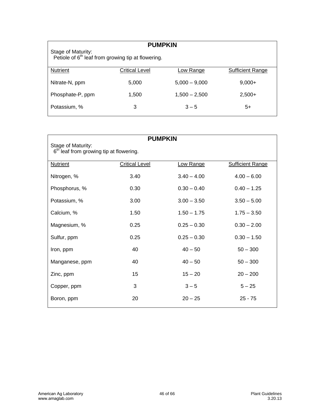| <b>PUMPKIN</b><br>Stage of Maturity:<br>Petiole of 6 <sup>th</sup> leaf from growing tip at flowering. |                       |                 |                         |  |
|--------------------------------------------------------------------------------------------------------|-----------------------|-----------------|-------------------------|--|
| <b>Nutrient</b>                                                                                        | <b>Critical Level</b> | Low Range       | <b>Sufficient Range</b> |  |
| Nitrate-N, ppm                                                                                         | 5,000                 | $5.000 - 9.000$ | $9,000+$                |  |
| Phosphate-P, ppm                                                                                       | 1,500                 | $1.500 - 2.500$ | $2,500+$                |  |
| Potassium, %                                                                                           | 3                     | $3 - 5$         | 5+                      |  |

| <b>PUMPKIN</b>                                                            |                |               |                         |  |
|---------------------------------------------------------------------------|----------------|---------------|-------------------------|--|
| Stage of Maturity:<br>6 <sup>th</sup> leaf from growing tip at flowering. |                |               |                         |  |
| <b>Nutrient</b>                                                           | Critical Level | Low Range     | <b>Sufficient Range</b> |  |
| Nitrogen, %                                                               | 3.40           | $3.40 - 4.00$ | $4.00 - 6.00$           |  |
| Phosphorus, %                                                             | 0.30           | $0.30 - 0.40$ | $0.40 - 1.25$           |  |
| Potassium, %                                                              | 3.00           | $3.00 - 3.50$ | $3.50 - 5.00$           |  |
| Calcium, %                                                                | 1.50           | $1.50 - 1.75$ | $1.75 - 3.50$           |  |
| Magnesium, %                                                              | 0.25           | $0.25 - 0.30$ | $0.30 - 2.00$           |  |
| Sulfur, ppm                                                               | 0.25           | $0.25 - 0.30$ | $0.30 - 1.50$           |  |
| Iron, ppm                                                                 | 40             | $40 - 50$     | $50 - 300$              |  |
| Manganese, ppm                                                            | 40             | $40 - 50$     | $50 - 300$              |  |
| Zinc, ppm                                                                 | 15             | $15 - 20$     | $20 - 200$              |  |
| Copper, ppm                                                               | 3              | $3 - 5$       | $5 - 25$                |  |
| Boron, ppm                                                                | 20             | $20 - 25$     | $25 - 75$               |  |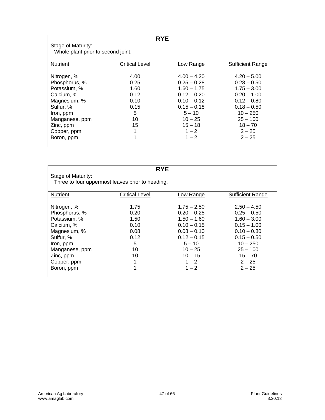| <b>RYE</b>                         |                       |               |                         |  |
|------------------------------------|-----------------------|---------------|-------------------------|--|
| Stage of Maturity:                 |                       |               |                         |  |
| Whole plant prior to second joint. |                       |               |                         |  |
|                                    |                       |               |                         |  |
| <b>Nutrient</b>                    | <b>Critical Level</b> | Low Range     | <b>Sufficient Range</b> |  |
|                                    |                       |               |                         |  |
| Nitrogen, %                        | 4.00                  | $4.00 - 4.20$ | $4.20 - 5.00$           |  |
| Phosphorus, %                      | 0.25                  | $0.25 - 0.28$ | $0.28 - 0.50$           |  |
| Potassium, %                       | 1.60                  | $1.60 - 1.75$ | $1.75 - 3.00$           |  |
| Calcium, %                         | 0.12                  | $0.12 - 0.20$ | $0.20 - 1.00$           |  |
| Magnesium, %                       | 0.10                  | $0.10 - 0.12$ | $0.12 - 0.80$           |  |
| Sulfur, %                          | 0.15                  | $0.15 - 0.18$ | $0.18 - 0.50$           |  |
| Iron, ppm                          | 5                     | $5 - 10$      | $10 - 250$              |  |
| Manganese, ppm                     | 10                    | $10 - 25$     | $25 - 100$              |  |
| Zinc, ppm                          | 15                    | $15 - 18$     | $18 - 70$               |  |
| Copper, ppm                        | 1                     | $1 - 2$       | $2 - 25$                |  |
| Boron, ppm                         | 1                     | $1 - 2$       | $2 - 25$                |  |
|                                    |                       |               |                         |  |

| <b>RYE</b><br>Stage of Maturity:<br>Three to four uppermost leaves prior to heading.                                                                             |                                                                         |                                                                                                                                                                |                                                                                                                                                                     |  |
|------------------------------------------------------------------------------------------------------------------------------------------------------------------|-------------------------------------------------------------------------|----------------------------------------------------------------------------------------------------------------------------------------------------------------|---------------------------------------------------------------------------------------------------------------------------------------------------------------------|--|
| <b>Nutrient</b>                                                                                                                                                  | <b>Critical Level</b>                                                   | Low Range                                                                                                                                                      | <b>Sufficient Range</b>                                                                                                                                             |  |
| Nitrogen, %<br>Phosphorus, %<br>Potassium, %<br>Calcium, %<br>Magnesium, %<br>Sulfur, %<br>Iron, ppm<br>Manganese, ppm<br>Zinc, ppm<br>Copper, ppm<br>Boron, ppm | 1.75<br>0.20<br>1.50<br>0.10<br>0.08<br>0.12<br>5<br>10<br>10<br>1<br>1 | $1.75 - 2.50$<br>$0.20 - 0.25$<br>$1.50 - 1.60$<br>$0.10 - 0.15$<br>$0.08 - 0.10$<br>$0.12 - 0.15$<br>$5 - 10$<br>$10 - 25$<br>$10 - 15$<br>$1 - 2$<br>$1 - 2$ | $2.50 - 4.50$<br>$0.25 - 0.50$<br>$1.60 - 3.00$<br>$0.15 - 1.00$<br>$0.10 - 0.80$<br>$0.15 - 0.50$<br>$10 - 250$<br>$25 - 100$<br>$15 - 70$<br>$2 - 25$<br>$2 - 25$ |  |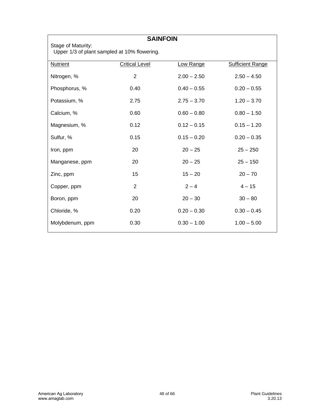| <b>SAINFOIN</b> |                                                                    |               |                         |  |  |  |
|-----------------|--------------------------------------------------------------------|---------------|-------------------------|--|--|--|
|                 | Stage of Maturity:<br>Upper 1/3 of plant sampled at 10% flowering. |               |                         |  |  |  |
| Nutrient        | <b>Critical Level</b>                                              | Low Range     | <b>Sufficient Range</b> |  |  |  |
| Nitrogen, %     | $\overline{2}$                                                     | $2.00 - 2.50$ | $2.50 - 4.50$           |  |  |  |
| Phosphorus, %   | 0.40                                                               | $0.40 - 0.55$ | $0.20 - 0.55$           |  |  |  |
| Potassium, %    | 2.75                                                               | $2.75 - 3.70$ | $1.20 - 3.70$           |  |  |  |
| Calcium, %      | 0.60                                                               | $0.60 - 0.80$ | $0.80 - 1.50$           |  |  |  |
| Magnesium, %    | 0.12                                                               | $0.12 - 0.15$ | $0.15 - 1.20$           |  |  |  |
| Sulfur, %       | 0.15                                                               | $0.15 - 0.20$ | $0.20 - 0.35$           |  |  |  |
| Iron, ppm       | 20                                                                 | $20 - 25$     | $25 - 250$              |  |  |  |
| Manganese, ppm  | 20                                                                 | $20 - 25$     | $25 - 150$              |  |  |  |
| Zinc, ppm       | 15                                                                 | $15 - 20$     | $20 - 70$               |  |  |  |
| Copper, ppm     | $\overline{2}$                                                     | $2 - 4$       | $4 - 15$                |  |  |  |
| Boron, ppm      | 20                                                                 | $20 - 30$     | $30 - 80$               |  |  |  |
| Chloride, %     | 0.20                                                               | $0.20 - 0.30$ | $0.30 - 0.45$           |  |  |  |
| Molybdenum, ppm | 0.30                                                               | $0.30 - 1.00$ | $1.00 - 5.00$           |  |  |  |

 $\mathsf{r}$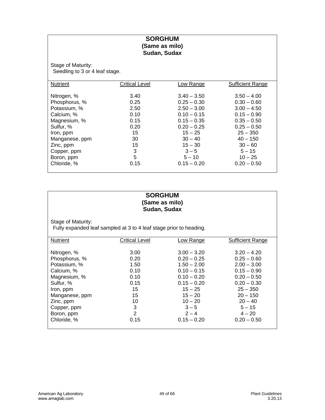#### **SORGHUM (Same as milo) Sudan, Sudax**

Stage of Maturity: Stage of maturity.

| Nutrient       | <b>Critical Level</b> | Low Range     | <b>Sufficient Range</b> |
|----------------|-----------------------|---------------|-------------------------|
|                |                       |               |                         |
| Nitrogen, %    | 3.40                  | $3.40 - 3.50$ | $3.50 - 4.00$           |
| Phosphorus, %  | 0.25                  | $0.25 - 0.30$ | $0.30 - 0.60$           |
| Potassium, %   | 2.50                  | $2.50 - 3.00$ | $3.00 - 4.50$           |
| Calcium, %     | 0.10                  | $0.10 - 0.15$ | $0.15 - 0.90$           |
| Magnesium, %   | 0.15                  | $0.15 - 0.35$ | $0.35 - 0.50$           |
| Sulfur, %      | 0.20                  | $0.20 - 0.25$ | $0.25 - 0.50$           |
| Iron, ppm      | 15                    | $15 - 25$     | $25 - 350$              |
| Manganese, ppm | 30                    | $30 - 40$     | $40 - 150$              |
| Zinc, ppm      | 15                    | $15 - 30$     | $30 - 60$               |
| Copper, ppm    | 3                     | $3 - 5$       | $5 - 15$                |
| Boron, ppm     | 5                     | $5 - 10$      | $10 - 25$               |
| Chloride, %    | 0.15                  | $0.15 - 0.20$ | $0.20 - 0.50$           |
|                |                       |               |                         |

#### **SORGHUM (Same as milo) Sudan, Sudax**

Stage of Maturity:

Fully expanded leaf sampled at 3 to 4 leaf stage prior to heading.

| <b>Nutrient</b> | Critical Level | Low Range     | <b>Sufficient Range</b> |
|-----------------|----------------|---------------|-------------------------|
|                 |                |               |                         |
|                 |                |               |                         |
| Nitrogen, %     | 3.00           | $3.00 - 3.20$ | $3.20 - 4.20$           |
| Phosphorus, %   | 0.20           | $0.20 - 0.25$ | $0.25 - 0.60$           |
| Potassium, %    | 1.50           | $1.50 - 2.00$ | $2.00 - 3.00$           |
| Calcium, %      | 0.10           | $0.10 - 0.15$ | $0.15 - 0.90$           |
| Magnesium, %    | 0.10           | $0.10 - 0.20$ | $0.20 - 0.50$           |
| Sulfur, %       | 0.15           | $0.15 - 0.20$ | $0.20 - 0.30$           |
| Iron, ppm       | 15             | $15 - 25$     | $25 - 350$              |
| Manganese, ppm  | 15             | $15 - 20$     | $20 - 150$              |
| Zinc, ppm       | 10             | $10 - 20$     | $20 - 40$               |
| Copper, ppm     | 3              | $3 - 5$       | $5 - 15$                |
| Boron, ppm      | $\overline{2}$ | $2 - 4$       | $4 - 20$                |
| Chloride, %     | 0.15           | $0.15 - 0.20$ | $0.20 - 0.50$           |
|                 |                |               |                         |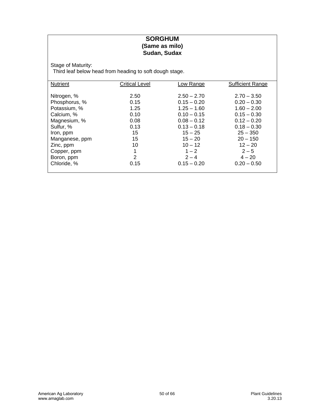#### **SORGHUM (Same as milo) Sudan, Sudax**

Stage of Maturity:

Third leaf below head from heading to soft dough stage.

| <b>Nutrient</b> | <b>Critical Level</b> | Low Range     | <b>Sufficient Range</b> |
|-----------------|-----------------------|---------------|-------------------------|
|                 |                       |               |                         |
| Nitrogen, %     | 2.50                  | $2.50 - 2.70$ | $2.70 - 3.50$           |
| Phosphorus, %   | 0.15                  | $0.15 - 0.20$ | $0.20 - 0.30$           |
| Potassium, %    | 1.25                  | $1.25 - 1.60$ | $1.60 - 2.00$           |
| Calcium, %      | 0.10                  | $0.10 - 0.15$ | $0.15 - 0.30$           |
| Magnesium, %    | 0.08                  | $0.08 - 0.12$ | $0.12 - 0.20$           |
| Sulfur, %       | 0.13                  | $0.13 - 0.18$ | $0.18 - 0.30$           |
| Iron, ppm       | 15                    | $15 - 25$     | $25 - 350$              |
| Manganese, ppm  | 15                    | $15 - 20$     | $20 - 150$              |
| Zinc, ppm       | 10                    | $10 - 12$     | $12 - 20$               |
| Copper, ppm     | 1                     | $1 - 2$       | $2 - 5$                 |
| Boron, ppm      | 2                     | $2 - 4$       | $4 - 20$                |
| Chloride, %     | 0.15                  | $0.15 - 0.20$ | $0.20 - 0.50$           |
|                 |                       |               |                         |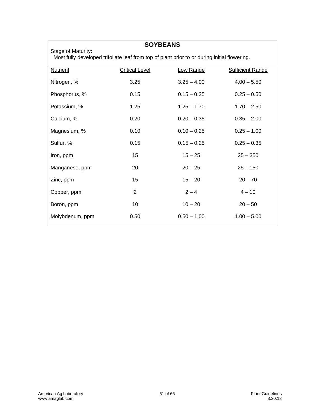Stage of Maturity:

# **SOYBEANS**

Most fully developed trifoliate leaf from top of plant prior to or during initial flowering.

| <b>Nutrient</b> | <b>Critical Level</b> | Low Range     | <b>Sufficient Range</b> |
|-----------------|-----------------------|---------------|-------------------------|
| Nitrogen, %     | 3.25                  | $3.25 - 4.00$ | $4.00 - 5.50$           |
| Phosphorus, %   | 0.15                  | $0.15 - 0.25$ | $0.25 - 0.50$           |
| Potassium, %    | 1.25                  | $1.25 - 1.70$ | $1.70 - 2.50$           |
| Calcium, %      | 0.20                  | $0.20 - 0.35$ | $0.35 - 2.00$           |
| Magnesium, %    | 0.10                  | $0.10 - 0.25$ | $0.25 - 1.00$           |
| Sulfur, %       | 0.15                  | $0.15 - 0.25$ | $0.25 - 0.35$           |
| Iron, ppm       | 15                    | $15 - 25$     | $25 - 350$              |
| Manganese, ppm  | 20                    | $20 - 25$     | $25 - 150$              |
| Zinc, ppm       | 15                    | $15 - 20$     | $20 - 70$               |
| Copper, ppm     | $\overline{2}$        | $2 - 4$       | $4 - 10$                |
| Boron, ppm      | 10                    | $10 - 20$     | $20 - 50$               |
| Molybdenum, ppm | 0.50                  | $0.50 - 1.00$ | $1.00 - 5.00$           |
|                 |                       |               |                         |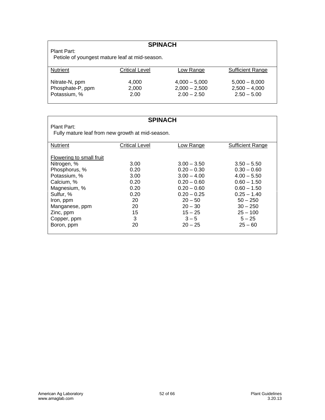# **SPINACH**

Plant Part:

Petiole of youngest mature leaf at mid-season.

| <b>Nutrient</b>  | <b>Critical Level</b> | <b>Low Range</b> | <b>Sufficient Range</b> |
|------------------|-----------------------|------------------|-------------------------|
|                  |                       |                  |                         |
|                  |                       |                  |                         |
| Nitrate-N, ppm   | 4.000                 | $4,000 - 5,000$  | $5.000 - 8.000$         |
|                  |                       |                  |                         |
| Phosphate-P, ppm | 2.000                 | $2.000 - 2.500$  | $2.500 - 4.000$         |
| Potassium, %     | 2.00                  | $2.00 - 2.50$    | $2.50 - 5.00$           |
|                  |                       |                  |                         |
|                  |                       |                  |                         |

#### **SPINACH**

Plant Part: Fully mature leaf from new growth at mid-season.

| Nutrient                 | <b>Critical Level</b> | Low Range     | <b>Sufficient Range</b> |
|--------------------------|-----------------------|---------------|-------------------------|
|                          |                       |               |                         |
| Flowering to small fruit |                       |               |                         |
| Nitrogen, %              | 3.00                  | $3.00 - 3.50$ | $3.50 - 5.50$           |
| Phosphorus, %            | 0.20                  | $0.20 - 0.30$ | $0.30 - 0.60$           |
| Potassium, %             | 3.00                  | $3.00 - 4.00$ | $4.00 - 5.50$           |
| Calcium, %               | 0.20                  | $0.20 - 0.60$ | $0.60 - 1.50$           |
| Magnesium, %             | 0.20                  | $0.20 - 0.60$ | $0.60 - 1.50$           |
| Sulfur, %                | 0.20                  | $0.20 - 0.25$ | $0.25 - 1.40$           |
| Iron, ppm                | 20                    | $20 - 50$     | $50 - 250$              |
| Manganese, ppm           | 20                    | $20 - 30$     | $30 - 250$              |
| Zinc, ppm                | 15                    | $15 - 25$     | $25 - 100$              |
| Copper, ppm              | 3                     | $3 - 5$       | $5 - 25$                |
| Boron, ppm               | 20                    | $20 - 25$     | $25 - 60$               |
|                          |                       |               |                         |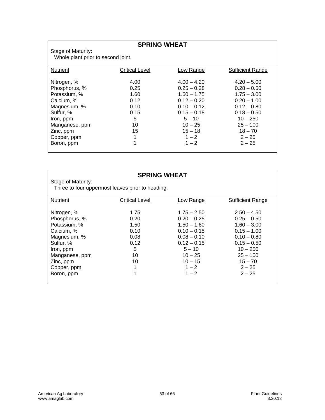# **SPRING WHEAT**

Stage of Maturity: Whole plant prior to second joint.

| <b>Nutrient</b> | <b>Critical Level</b> | Low Range     | <b>Sufficient Range</b> |
|-----------------|-----------------------|---------------|-------------------------|
|                 |                       |               |                         |
| Nitrogen, %     | 4.00                  | $4.00 - 4.20$ | $4.20 - 5.00$           |
| Phosphorus, %   | 0.25                  | $0.25 - 0.28$ | $0.28 - 0.50$           |
| Potassium, %    | 1.60                  | $1.60 - 1.75$ | $1.75 - 3.00$           |
| Calcium, %      | 0.12                  | $0.12 - 0.20$ | $0.20 - 1.00$           |
| Magnesium, %    | 0.10                  | $0.10 - 0.12$ | $0.12 - 0.80$           |
| Sulfur, %       | 0.15                  | $0.15 - 0.18$ | $0.18 - 0.50$           |
| Iron, ppm       | 5                     | $5 - 10$      | $10 - 250$              |
| Manganese, ppm  | 10                    | $10 - 25$     | $25 - 100$              |
| Zinc, ppm       | 15                    | $15 - 18$     | $18 - 70$               |
| Copper, ppm     | 1                     | $1 - 2$       | $2 - 25$                |
| Boron, ppm      | 1                     | $1 - 2$       | $2 - 25$                |
|                 |                       |               |                         |

|                    | <b>SPRING WHEAT</b>                              |               |                         |
|--------------------|--------------------------------------------------|---------------|-------------------------|
| Stage of Maturity: |                                                  |               |                         |
|                    | Three to four uppermost leaves prior to heading. |               |                         |
|                    |                                                  |               |                         |
| <b>Nutrient</b>    | <b>Critical Level</b>                            | Low Range     | <b>Sufficient Range</b> |
| Nitrogen, %        | 1.75                                             | $1.75 - 2.50$ | $2.50 - 4.50$           |
| Phosphorus, %      | 0.20                                             | $0.20 - 0.25$ | $0.25 - 0.50$           |
| Potassium, %       | 1.50                                             | $1.50 - 1.60$ | $1.60 - 3.00$           |
| Calcium, %         | 0.10                                             | $0.10 - 0.15$ | $0.15 - 1.00$           |
| Magnesium, %       | 0.08                                             | $0.08 - 0.10$ | $0.10 - 0.80$           |
| Sulfur. %          | 0.12                                             | $0.12 - 0.15$ | $0.15 - 0.50$           |
| Iron, ppm          | 5                                                | $5 - 10$      | $10 - 250$              |
| Manganese, ppm     | 10                                               | $10 - 25$     | $25 - 100$              |
| Zinc, ppm          | 10                                               | $10 - 15$     | $15 - 70$               |
| Copper, ppm        | 1                                                | $1 - 2$       | $2 - 25$                |
| Boron, ppm         | 1                                                | $1 - 2$       | $2 - 25$                |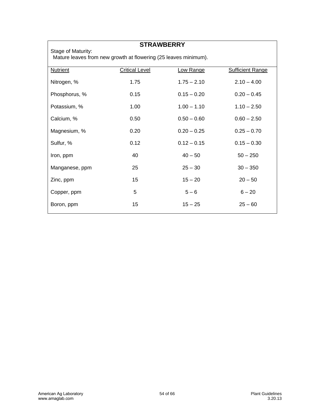Stage of Maturity:

# **STRAWBERRY**

Mature leaves from new growth at flowering (25 leaves minimum).

| <b>Nutrient</b> | <b>Critical Level</b> | Low Range     | <b>Sufficient Range</b> |
|-----------------|-----------------------|---------------|-------------------------|
| Nitrogen, %     | 1.75                  | $1.75 - 2.10$ | $2.10 - 4.00$           |
| Phosphorus, %   | 0.15                  | $0.15 - 0.20$ | $0.20 - 0.45$           |
| Potassium, %    | 1.00                  | $1.00 - 1.10$ | $1.10 - 2.50$           |
| Calcium, %      | 0.50                  | $0.50 - 0.60$ | $0.60 - 2.50$           |
| Magnesium, %    | 0.20                  | $0.20 - 0.25$ | $0.25 - 0.70$           |
| Sulfur, %       | 0.12                  | $0.12 - 0.15$ | $0.15 - 0.30$           |
| Iron, ppm       | 40                    | $40 - 50$     | $50 - 250$              |
| Manganese, ppm  | 25                    | $25 - 30$     | $30 - 350$              |
| Zinc, ppm       | 15                    | $15 - 20$     | $20 - 50$               |
| Copper, ppm     | 5                     | $5 - 6$       | $6 - 20$                |
| Boron, ppm      | 15                    | $15 - 25$     | $25 - 60$               |
|                 |                       |               |                         |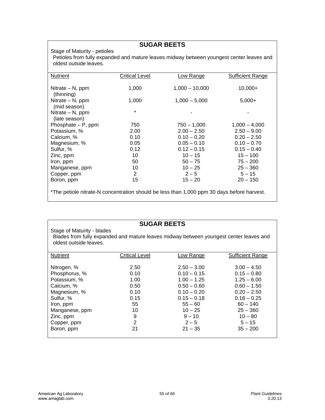# **SUGAR BEETS**

#### Stage of Maturity - petioles

Petioles from fully expanded and mature leaves midway between youngest center leaves and oldest outside leaves.

| Nutrient                                                                                   | <b>Critical Level</b> | Low Range        | <b>Sufficient Range</b> |  |  |
|--------------------------------------------------------------------------------------------|-----------------------|------------------|-------------------------|--|--|
| Nitrate $-$ N, ppm<br>(thinning)                                                           | 1,000                 | $1,000 - 10,000$ | $10,000+$               |  |  |
| Nitrate $- N$ , ppm<br>(mid season)                                                        | 1,000                 | $1,000 - 5,000$  | $5,000+$                |  |  |
| Nitrate $- N$ , ppm<br>(late season)                                                       | $\star$               |                  |                         |  |  |
| Phosphate $- P$ , ppm                                                                      | 750                   | $750 - 1,000$    | $1,000 - 4,000$         |  |  |
| Potassium, %                                                                               | 2.00                  | $2.00 - 2.50$    | $2.50 - 9.00$           |  |  |
| Calcium, %                                                                                 | 0.10                  | $0.10 - 0.20$    | $0.20 - 2.50$           |  |  |
| Magnesium, %                                                                               | 0.05                  | $0.05 - 0.10$    | $0.10 - 0.70$           |  |  |
| Sulfur, %                                                                                  | 0.12                  | $0.12 - 0.15$    | $0.15 - 0.40$           |  |  |
| Zinc, ppm                                                                                  | 10                    | $10 - 15$        | $15 - 100$              |  |  |
| Iron, ppm                                                                                  | 50                    | $50 - 75$        | $75 - 200$              |  |  |
| Manganese, ppm                                                                             | 10                    | $10 - 25$        | $25 - 360$              |  |  |
| Copper, ppm                                                                                | $\overline{2}$        | $2 - 5$          | $5 - 15$                |  |  |
| Boron, ppm                                                                                 | 15                    | $15 - 20$        | $20 - 150$              |  |  |
| *The petiole nitrate-N concentration should be less than 1,000 ppm 30 days before harvest. |                       |                  |                         |  |  |

#### **SUGAR BEETS**

#### Stage of Maturity - blades Blades from fully expanded and mature leaves midway between youngest center leaves and oldest outside leaves.

| <b>Nutrient</b> | Critical Level | Low Range     | <b>Sufficient Range</b> |
|-----------------|----------------|---------------|-------------------------|
|                 |                |               |                         |
|                 |                |               |                         |
| Nitrogen, %     | 2.50           | $2.50 - 3.00$ | $3.00 - 4.50$           |
| Phosphorus, %   | 0.10           | $0.10 - 0.15$ | $0.15 - 0.80$           |
| Potassium, %    | 1.00           | $1.00 - 1.25$ | $1.25 - 6.00$           |
| Calcium, %      | 0.50           | $0.50 - 0.60$ | $0.60 - 1.50$           |
| Magnesium, %    | 0.10           | $0.10 - 0.20$ | $0.20 - 2.50$           |
| Sulfur, %       | 0.15           | $0.15 - 0.18$ | $0.18 - 0.25$           |
| Iron, ppm       | 55             | $55 - 60$     | $60 - 140$              |
| Manganese, ppm  | 10             | $10 - 25$     | $25 - 360$              |
| Zinc, ppm       | 9              | $9 - 10$      | $10 - 80$               |
| Copper, ppm     | $\overline{2}$ | $2 - 5$       | $5 - 15$                |
| Boron, ppm      | 21             | $21 - 35$     | $35 - 200$              |
|                 |                |               |                         |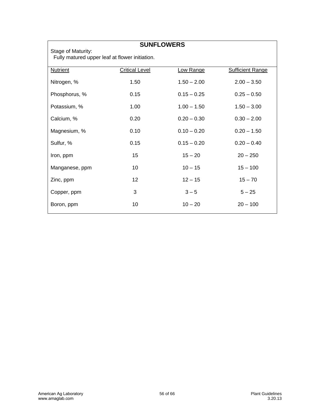# **SUNFLOWERS**

Stage of Maturity: Fully matured upper leaf at flower initiation.

| <b>Nutrient</b> | <b>Critical Level</b> | Low Range     | <b>Sufficient Range</b> |
|-----------------|-----------------------|---------------|-------------------------|
| Nitrogen, %     | 1.50                  | $1.50 - 2.00$ | $2.00 - 3.50$           |
| Phosphorus, %   | 0.15                  | $0.15 - 0.25$ | $0.25 - 0.50$           |
| Potassium, %    | 1.00                  | $1.00 - 1.50$ | $1.50 - 3.00$           |
| Calcium, %      | 0.20                  | $0.20 - 0.30$ | $0.30 - 2.00$           |
| Magnesium, %    | 0.10                  | $0.10 - 0.20$ | $0.20 - 1.50$           |
| Sulfur, %       | 0.15                  | $0.15 - 0.20$ | $0.20 - 0.40$           |
| Iron, ppm       | 15                    | $15 - 20$     | $20 - 250$              |
| Manganese, ppm  | 10                    | $10 - 15$     | $15 - 100$              |
| Zinc, ppm       | 12 <sup>2</sup>       | $12 - 15$     | $15 - 70$               |
| Copper, ppm     | 3                     | $3 - 5$       | $5 - 25$                |
| Boron, ppm      | 10                    | $10 - 20$     | $20 - 100$              |
|                 |                       |               |                         |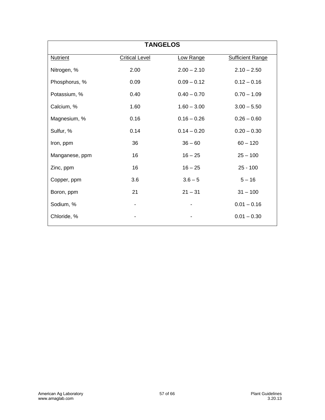| <b>TANGELOS</b> |                       |               |                         |  |
|-----------------|-----------------------|---------------|-------------------------|--|
| <b>Nutrient</b> | <b>Critical Level</b> | Low Range     | <b>Sufficient Range</b> |  |
| Nitrogen, %     | 2.00                  | $2.00 - 2.10$ | $2.10 - 2.50$           |  |
| Phosphorus, %   | 0.09                  | $0.09 - 0.12$ | $0.12 - 0.16$           |  |
| Potassium, %    | 0.40                  | $0.40 - 0.70$ | $0.70 - 1.09$           |  |
| Calcium, %      | 1.60                  | $1.60 - 3.00$ | $3.00 - 5.50$           |  |
| Magnesium, %    | 0.16                  | $0.16 - 0.26$ | $0.26 - 0.60$           |  |
| Sulfur, %       | 0.14                  | $0.14 - 0.20$ | $0.20 - 0.30$           |  |
| Iron, ppm       | 36                    | $36 - 60$     | $60 - 120$              |  |
| Manganese, ppm  | 16                    | $16 - 25$     | $25 - 100$              |  |
| Zinc, ppm       | 16                    | $16 - 25$     | $25 - 100$              |  |
| Copper, ppm     | 3.6                   | $3.6 - 5$     | $5 - 16$                |  |
| Boron, ppm      | 21                    | $21 - 31$     | $31 - 100$              |  |
| Sodium, %       | ۰                     |               | $0.01 - 0.16$           |  |
| Chloride, %     |                       |               | $0.01 - 0.30$           |  |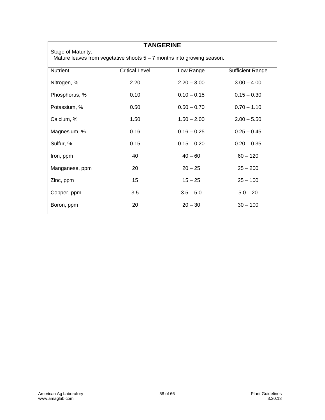Stage of Maturity:

# **TANGERINE**

Mature leaves from vegetative shoots 5 – 7 months into growing season.

| <b>Nutrient</b> | <b>Critical Level</b> | Low Range     | <b>Sufficient Range</b> |
|-----------------|-----------------------|---------------|-------------------------|
| Nitrogen, %     | 2.20                  | $2.20 - 3.00$ | $3.00 - 4.00$           |
| Phosphorus, %   | 0.10                  | $0.10 - 0.15$ | $0.15 - 0.30$           |
| Potassium, %    | 0.50                  | $0.50 - 0.70$ | $0.70 - 1.10$           |
| Calcium, %      | 1.50                  | $1.50 - 2.00$ | $2.00 - 5.50$           |
| Magnesium, %    | 0.16                  | $0.16 - 0.25$ | $0.25 - 0.45$           |
| Sulfur, %       | 0.15                  | $0.15 - 0.20$ | $0.20 - 0.35$           |
| Iron, ppm       | 40                    | $40 - 60$     | $60 - 120$              |
| Manganese, ppm  | 20                    | $20 - 25$     | $25 - 200$              |
| Zinc, ppm       | 15                    | $15 - 25$     | $25 - 100$              |
| Copper, ppm     | 3.5                   | $3.5 - 5.0$   | $5.0 - 20$              |
| Boron, ppm      | 20                    | $20 - 30$     | $30 - 100$              |
|                 |                       |               |                         |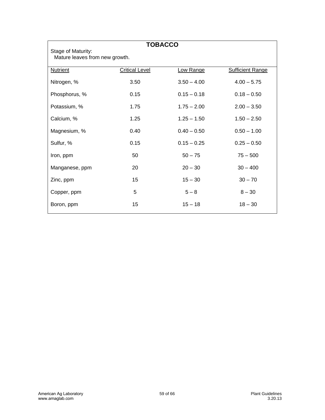| <b>TOBACCO</b><br>Stage of Maturity:<br>Mature leaves from new growth. |                       |               |                         |  |  |
|------------------------------------------------------------------------|-----------------------|---------------|-------------------------|--|--|
| <b>Nutrient</b>                                                        | <b>Critical Level</b> | Low Range     | <b>Sufficient Range</b> |  |  |
| Nitrogen, %                                                            | 3.50                  | $3.50 - 4.00$ | $4.00 - 5.75$           |  |  |
| Phosphorus, %                                                          | 0.15                  | $0.15 - 0.18$ | $0.18 - 0.50$           |  |  |
| Potassium, %                                                           | 1.75                  | $1.75 - 2.00$ | $2.00 - 3.50$           |  |  |
| Calcium, %                                                             | 1.25                  | $1.25 - 1.50$ | $1.50 - 2.50$           |  |  |
| Magnesium, %                                                           | 0.40                  | $0.40 - 0.50$ | $0.50 - 1.00$           |  |  |
| Sulfur, %                                                              | 0.15                  | $0.15 - 0.25$ | $0.25 - 0.50$           |  |  |
| Iron, ppm                                                              | 50                    | $50 - 75$     | $75 - 500$              |  |  |
| Manganese, ppm                                                         | 20                    | $20 - 30$     | $30 - 400$              |  |  |
| Zinc, ppm                                                              | 15                    | $15 - 30$     | $30 - 70$               |  |  |
| Copper, ppm                                                            | 5                     | $5 - 8$       | $8 - 30$                |  |  |
| Boron, ppm                                                             | 15                    | $15 - 18$     | $18 - 30$               |  |  |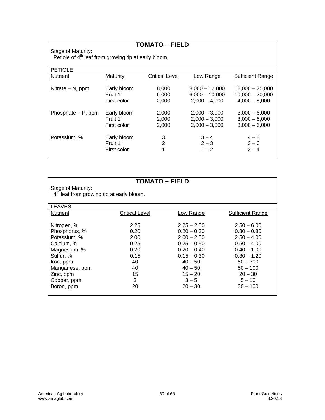|                                                                                        |                                        | <b>TOMATO – FIELD</b>    |                                                       |                                                       |
|----------------------------------------------------------------------------------------|----------------------------------------|--------------------------|-------------------------------------------------------|-------------------------------------------------------|
| Stage of Maturity:<br>Petiole of 4 <sup>th</sup> leaf from growing tip at early bloom. |                                        |                          |                                                       |                                                       |
| <b>PETIOLE</b>                                                                         |                                        |                          |                                                       |                                                       |
| <b>Nutrient</b>                                                                        | Maturity                               | <b>Critical Level</b>    | Low Range                                             | <b>Sufficient Range</b>                               |
| Nitrate $- N$ , ppm                                                                    | Early bloom<br>Fruit 1"                | 8,000<br>6,000           | $8,000 - 12,000$<br>$6,000 - 10,000$                  | $12,000 - 25,000$<br>$10,000 - 20,000$                |
|                                                                                        | First color                            | 2,000                    | $2,000 - 4,000$                                       | $4,000 - 8,000$                                       |
| Phosphate $- P$ , ppm                                                                  | Early bloom<br>Fruit 1"<br>First color | 2,000<br>2,000<br>2,000  | $2,000 - 3,000$<br>$2,000 - 3,000$<br>$2,000 - 3,000$ | $3,000 - 6,000$<br>$3,000 - 6,000$<br>$3,000 - 6,000$ |
| Potassium, %                                                                           | Early bloom<br>Fruit 1"<br>First color | 3<br>$\overline{2}$<br>1 | $3 - 4$<br>$2 - 3$<br>$1 - 2$                         | $4 - 8$<br>$3 - 6$<br>$2 - 4$                         |

|                                                       | <b>TOMATO – FIELD</b> |               |                         |
|-------------------------------------------------------|-----------------------|---------------|-------------------------|
| Stage of Maturity:                                    |                       |               |                         |
| 4 <sup>th</sup> leaf from growing tip at early bloom. |                       |               |                         |
|                                                       |                       |               |                         |
| <b>LEAVES</b>                                         |                       |               |                         |
| <b>Nutrient</b>                                       | Critical Level        | Low Range     | <b>Sufficient Range</b> |
|                                                       |                       |               |                         |
| Nitrogen, %                                           | 2.25                  | $2.25 - 2.50$ | $2.50 - 6.00$           |
| Phosphorus, %                                         | 0.20                  | $0.20 - 0.30$ | $0.30 - 0.80$           |
| Potassium, %                                          | 2.00                  | $2.00 - 2.50$ | $2.50 - 4.00$           |
| Calcium, %                                            | 0.25                  | $0.25 - 0.50$ | $0.50 - 4.00$           |
| Magnesium, %                                          | 0.20                  | $0.20 - 0.40$ | $0.40 - 1.00$           |
| Sulfur, %                                             | 0.15                  | $0.15 - 0.30$ | $0.30 - 1.20$           |
| Iron, ppm                                             | 40                    | $40 - 50$     | $50 - 300$              |
| Manganese, ppm                                        | 40                    | $40 - 50$     | $50 - 100$              |
| Zinc, ppm                                             | 15                    | $15 - 20$     | $20 - 30$               |
| Copper, ppm                                           | 3                     | $3 - 5$       | $5 - 10$                |
| Boron, ppm                                            | 20                    | $20 - 30$     | $30 - 100$              |
|                                                       |                       |               |                         |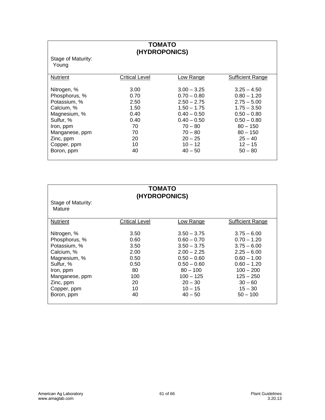# **TOMATO (HYDROPONICS)**

Stage of Maturity: Young

| <b>Nutrient</b> | <b>Critical Level</b> | Low Range     | <b>Sufficient Range</b> |
|-----------------|-----------------------|---------------|-------------------------|
|                 |                       |               |                         |
| Nitrogen, %     | 3.00                  | $3.00 - 3.25$ | $3.25 - 4.50$           |
| Phosphorus, %   | 0.70                  | $0.70 - 0.80$ | $0.80 - 1.20$           |
| Potassium, %    | 2.50                  | $2.50 - 2.75$ | $2.75 - 5.00$           |
| Calcium, %      | 1.50                  | $1.50 - 1.75$ | $1.75 - 3.50$           |
| Magnesium, %    | 0.40                  | $0.40 - 0.50$ | $0.50 - 0.80$           |
| Sulfur, %       | 0.40                  | $0.40 - 0.50$ | $0.50 - 0.80$           |
| Iron, ppm       | 70                    | $70 - 80$     | $80 - 150$              |
| Manganese, ppm  | 70                    | $70 - 80$     | $80 - 150$              |
| Zinc, ppm       | 20                    | $20 - 25$     | $25 - 40$               |
| Copper, ppm     | 10                    | $10 - 12$     | $12 - 15$               |
| Boron, ppm      | 40                    | $40 - 50$     | $50 - 80$               |
|                 |                       |               |                         |

| <b>TOMATO</b><br>(HYDROPONICS)<br>Stage of Maturity: |                |               |                  |
|------------------------------------------------------|----------------|---------------|------------------|
| Mature                                               |                |               |                  |
| <b>Nutrient</b>                                      | Critical Level | Low Range     | Sufficient Range |
| Nitrogen, %                                          | 3.50           | $3.50 - 3.75$ | $3.75 - 6.00$    |
| Phosphorus, %                                        | 0.60           | $0.60 - 0.70$ | $0.70 - 1.20$    |
| Potassium, %                                         | 3.50           | $3.50 - 3.75$ | $3.75 - 6.00$    |
| Calcium, %                                           | 2.00           | $2.00 - 2.25$ | $2.25 - 6.00$    |
| Magnesium, %                                         | 0.50           | $0.50 - 0.60$ | $0.60 - 1.00$    |
| Sulfur, %                                            | 0.50           | $0.50 - 0.60$ | $0.60 - 1.20$    |
| Iron, ppm                                            | 80             | $80 - 100$    | $100 - 200$      |
| Manganese, ppm                                       | 100            | $100 - 125$   | $125 - 250$      |
| Zinc, ppm                                            | 20             | $20 - 30$     | $30 - 60$        |
| Copper, ppm                                          | 10             | $10 - 15$     | $15 - 30$        |
| Boron, ppm                                           | 40             | $40 - 50$     | $50 - 100$       |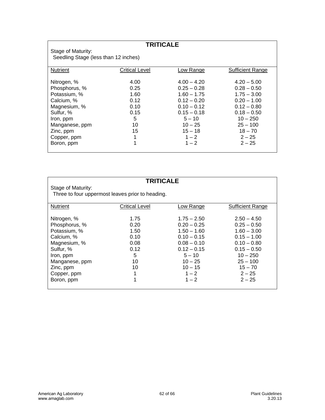# **TRITICALE**

Stage of Maturity: Seedling Stage (less than 12 inches)

| <b>Sufficient Range</b> |
|-------------------------|
|                         |
| $4.20 - 5.00$           |
| $0.28 - 0.50$           |
| $1.75 - 3.00$           |
| $0.20 - 1.00$           |
| $0.12 - 0.80$           |
| $0.18 - 0.50$           |
| $10 - 250$              |
| $25 - 100$              |
| $18 - 70$               |
| $2 - 25$                |
| $2 - 25$                |
|                         |
|                         |

| <b>TRITICALE</b><br>Stage of Maturity:<br>Three to four uppermost leaves prior to heading.                                                                       |                                                                         |                                                                                                                                                                |                                                                                                                                                                     |
|------------------------------------------------------------------------------------------------------------------------------------------------------------------|-------------------------------------------------------------------------|----------------------------------------------------------------------------------------------------------------------------------------------------------------|---------------------------------------------------------------------------------------------------------------------------------------------------------------------|
| <b>Nutrient</b>                                                                                                                                                  | <b>Critical Level</b>                                                   | Low Range                                                                                                                                                      | <b>Sufficient Range</b>                                                                                                                                             |
| Nitrogen, %<br>Phosphorus, %<br>Potassium, %<br>Calcium, %<br>Magnesium, %<br>Sulfur, %<br>Iron, ppm<br>Manganese, ppm<br>Zinc, ppm<br>Copper, ppm<br>Boron, ppm | 1.75<br>0.20<br>1.50<br>0.10<br>0.08<br>0.12<br>5<br>10<br>10<br>1<br>1 | $1.75 - 2.50$<br>$0.20 - 0.25$<br>$1.50 - 1.60$<br>$0.10 - 0.15$<br>$0.08 - 0.10$<br>$0.12 - 0.15$<br>$5 - 10$<br>$10 - 25$<br>$10 - 15$<br>$1 - 2$<br>$1 - 2$ | $2.50 - 4.50$<br>$0.25 - 0.50$<br>$1.60 - 3.00$<br>$0.15 - 1.00$<br>$0.10 - 0.80$<br>$0.15 - 0.50$<br>$10 - 250$<br>$25 - 100$<br>$15 - 70$<br>$2 - 25$<br>$2 - 25$ |
|                                                                                                                                                                  |                                                                         |                                                                                                                                                                |                                                                                                                                                                     |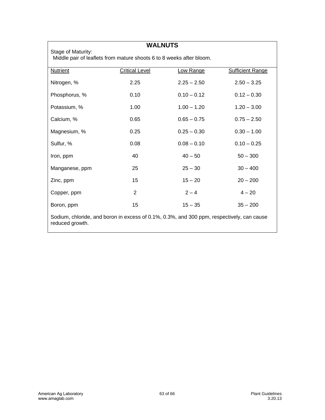Stage of Maturity:

**WALNUTS** 

Middle pair of leaflets from mature shoots 6 to 8 weeks after bloom.

| <b>Nutrient</b>                                                                                              | <b>Critical Level</b> | Low Range     | <b>Sufficient Range</b> |
|--------------------------------------------------------------------------------------------------------------|-----------------------|---------------|-------------------------|
| Nitrogen, %                                                                                                  | 2.25                  | $2.25 - 2.50$ | $2.50 - 3.25$           |
| Phosphorus, %                                                                                                | 0.10                  | $0.10 - 0.12$ | $0.12 - 0.30$           |
| Potassium, %                                                                                                 | 1.00                  | $1.00 - 1.20$ | $1.20 - 3.00$           |
| Calcium, %                                                                                                   | 0.65                  | $0.65 - 0.75$ | $0.75 - 2.50$           |
| Magnesium, %                                                                                                 | 0.25                  | $0.25 - 0.30$ | $0.30 - 1.00$           |
| Sulfur, %                                                                                                    | 0.08                  | $0.08 - 0.10$ | $0.10 - 0.25$           |
| Iron, ppm                                                                                                    | 40                    | $40 - 50$     | $50 - 300$              |
| Manganese, ppm                                                                                               | 25                    | $25 - 30$     | $30 - 400$              |
| Zinc, ppm                                                                                                    | 15                    | $15 - 20$     | $20 - 200$              |
| Copper, ppm                                                                                                  | 2                     | $2 - 4$       | $4 - 20$                |
| Boron, ppm                                                                                                   | 15                    | $15 - 35$     | $35 - 200$              |
| Sodium, chloride, and boron in excess of 0.1%, 0.3%, and 300 ppm, respectively, can cause<br>reduced growth. |                       |               |                         |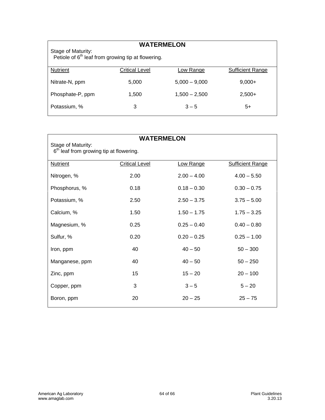# **WATERMELON**

Stage of Maturity: Petiole of  $6<sup>th</sup>$  leaf from growing tip at flowering.

| <b>Nutrient</b>  | <b>Critical Level</b> | <u>Low Range</u> | <b>Sufficient Range</b> |
|------------------|-----------------------|------------------|-------------------------|
| Nitrate-N, ppm   | 5,000                 | $5,000 - 9,000$  | $9,000+$                |
| Phosphate-P, ppm | 1,500                 | $1,500 - 2,500$  | $2,500+$                |
| Potassium, %     | 3                     | $3 - 5$          | 5+                      |

| <b>WATERMELON</b>                                               |                       |               |                         |  |
|-----------------------------------------------------------------|-----------------------|---------------|-------------------------|--|
| Stage of Maturity:<br>$6th$ leaf from growing tip at flowering. |                       |               |                         |  |
| <b>Nutrient</b>                                                 | <b>Critical Level</b> | Low Range     | <b>Sufficient Range</b> |  |
| Nitrogen, %                                                     | 2.00                  | $2.00 - 4.00$ | $4.00 - 5.50$           |  |
| Phosphorus, %                                                   | 0.18                  | $0.18 - 0.30$ | $0.30 - 0.75$           |  |
| Potassium, %                                                    | 2.50                  | $2.50 - 3.75$ | $3.75 - 5.00$           |  |
| Calcium, %                                                      | 1.50                  | $1.50 - 1.75$ | $1.75 - 3.25$           |  |
| Magnesium, %                                                    | 0.25                  | $0.25 - 0.40$ | $0.40 - 0.80$           |  |
| Sulfur, %                                                       | 0.20                  | $0.20 - 0.25$ | $0.25 - 1.00$           |  |
| Iron, ppm                                                       | 40                    | $40 - 50$     | $50 - 300$              |  |
| Manganese, ppm                                                  | 40                    | $40 - 50$     | $50 - 250$              |  |
| Zinc, ppm                                                       | 15                    | $15 - 20$     | $20 - 100$              |  |
| Copper, ppm                                                     | 3                     | $3 - 5$       | $5 - 20$                |  |
| Boron, ppm                                                      | 20                    | $20 - 25$     | $25 - 75$               |  |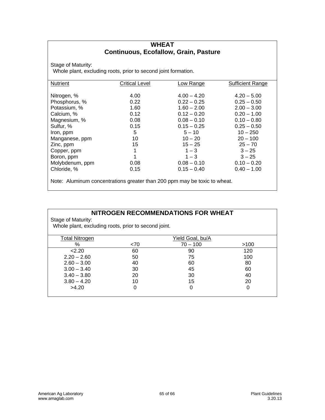#### **WHEAT Continuous, Ecofallow, Grain, Pasture**

Stage of Maturity:

Whole plant, excluding roots, prior to second joint formation.

| <b>Nutrient</b> | <b>Critical Level</b> | Low Range     | <b>Sufficient Range</b> |
|-----------------|-----------------------|---------------|-------------------------|
|                 |                       |               |                         |
| Nitrogen, %     | 4.00                  | $4.00 - 4.20$ | $4.20 - 5.00$           |
| Phosphorus, %   | 0.22                  | $0.22 - 0.25$ | $0.25 - 0.50$           |
| Potassium, %    | 1.60                  | $1.60 - 2.00$ | $2.00 - 3.00$           |
| Calcium, %      | 0.12                  | $0.12 - 0.20$ | $0.20 - 1.00$           |
| Magnesium, %    | 0.08                  | $0.08 - 0.10$ | $0.10 - 0.80$           |
| Sulfur, %       | 0.15                  | $0.15 - 0.25$ | $0.25 - 0.50$           |
| Iron, ppm       | 5                     | $5 - 10$      | $10 - 250$              |
| Manganese, ppm  | 10                    | $10 - 20$     | $20 - 100$              |
| Zinc, ppm       | 15                    | $15 - 25$     | $25 - 70$               |
| Copper, ppm     | 1                     | $1 - 3$       | $3 - 25$                |
| Boron, ppm      | 1                     | $1 - 3$       | $3 - 25$                |
| Molybdenum, ppm | 0.08                  | $0.08 - 0.10$ | $0.10 - 0.20$           |
| Chloride, %     | 0.15                  | $0.15 - 0.40$ | $0.40 - 1.00$           |
|                 |                       |               |                         |

Note: Aluminum concentrations greater than 200 ppm may be toxic to wheat.

# **NITROGEN RECOMMENDATIONS FOR WHEAT**

Stage of Maturity:

Whole plant, excluding roots, prior to second joint.

| <b>Total Nitrogen</b> |      | Yield Goal, bu/A |      |
|-----------------------|------|------------------|------|
| %                     | < 70 | $70 - 100$       | >100 |
| 2.20                  | 60   | 90               | 120  |
| $2.20 - 2.60$         | 50   | 75               | 100  |
| $2.60 - 3.00$         | 40   | 60               | 80   |
| $3.00 - 3.40$         | 30   | 45               | 60   |
| $3.40 - 3.80$         | 20   | 30               | 40   |
| $3.80 - 4.20$         | 10   | 15               | 20   |
| >4.20                 | 0    |                  |      |
|                       |      |                  |      |